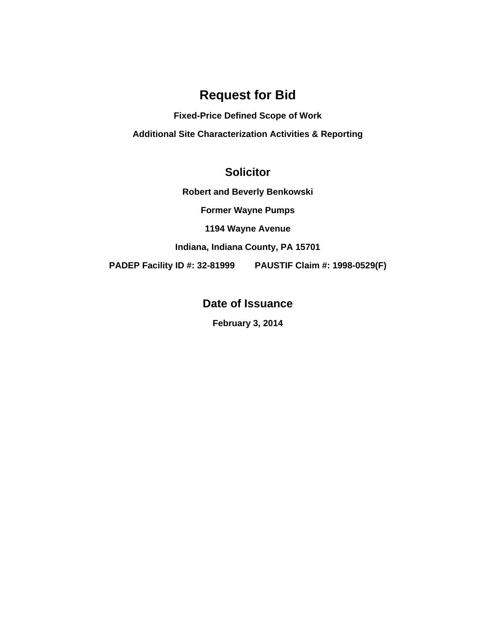# **Request for Bid**

**Fixed-Price Defined Scope of Work Additional Site Characterization Activities & Reporting** 

# **Solicitor**

**Robert and Beverly Benkowski** 

**Former Wayne Pumps** 

**1194 Wayne Avenue** 

**Indiana, Indiana County, PA 15701** 

**PADEP Facility ID #: 32-81999 PAUSTIF Claim #: 1998-0529(F)** 

**Date of Issuance** 

**February 3, 2014**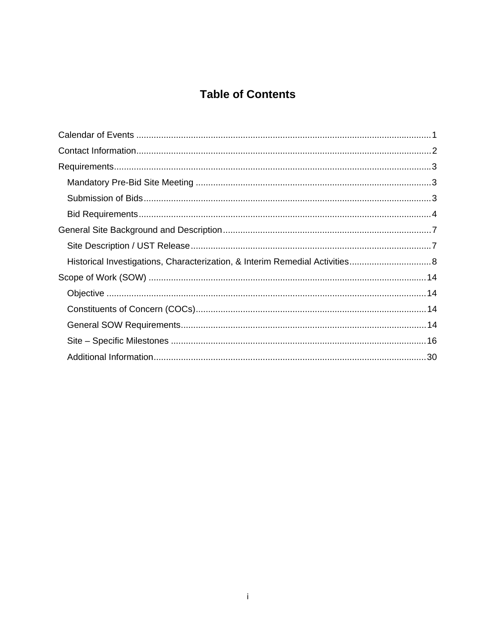# **Table of Contents**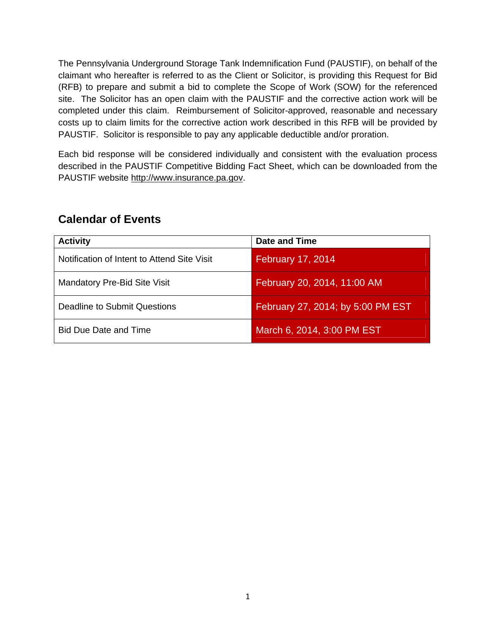The Pennsylvania Underground Storage Tank Indemnification Fund (PAUSTIF), on behalf of the claimant who hereafter is referred to as the Client or Solicitor, is providing this Request for Bid (RFB) to prepare and submit a bid to complete the Scope of Work (SOW) for the referenced site. The Solicitor has an open claim with the PAUSTIF and the corrective action work will be completed under this claim. Reimbursement of Solicitor-approved, reasonable and necessary costs up to claim limits for the corrective action work described in this RFB will be provided by PAUSTIF. Solicitor is responsible to pay any applicable deductible and/or proration.

Each bid response will be considered individually and consistent with the evaluation process described in the PAUSTIF Competitive Bidding Fact Sheet, which can be downloaded from the PAUSTIF website http://www.insurance.pa.gov.

| <b>Activity</b>                             | <b>Date and Time</b>              |
|---------------------------------------------|-----------------------------------|
| Notification of Intent to Attend Site Visit | February 17, 2014                 |
| <b>Mandatory Pre-Bid Site Visit</b>         | February 20, 2014, 11:00 AM       |
| Deadline to Submit Questions                | February 27, 2014; by 5:00 PM EST |
| <b>Bid Due Date and Time</b>                | March 6, 2014, 3:00 PM EST        |

# **Calendar of Events**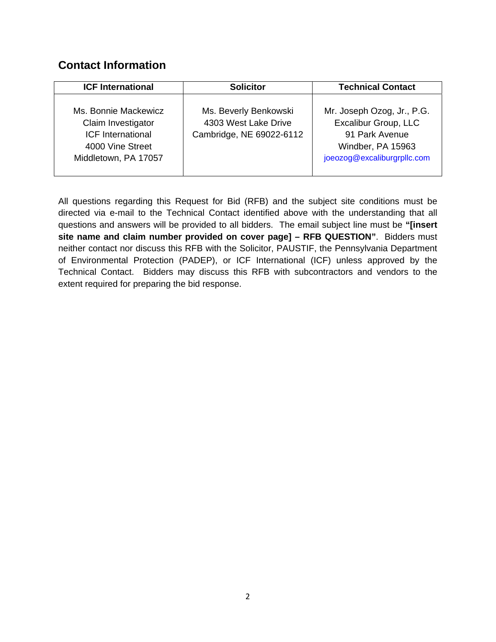# **Contact Information**

| <b>ICF International</b>                                                                                           | <b>Solicitor</b>                                                          | <b>Technical Contact</b>                                                                                                 |
|--------------------------------------------------------------------------------------------------------------------|---------------------------------------------------------------------------|--------------------------------------------------------------------------------------------------------------------------|
| Ms. Bonnie Mackewicz<br>Claim Investigator<br><b>ICF</b> International<br>4000 Vine Street<br>Middletown, PA 17057 | Ms. Beverly Benkowski<br>4303 West Lake Drive<br>Cambridge, NE 69022-6112 | Mr. Joseph Ozog, Jr., P.G.<br>Excalibur Group, LLC<br>91 Park Avenue<br>Windber, PA 15963<br>joeozog@excaliburgrpllc.com |

All questions regarding this Request for Bid (RFB) and the subject site conditions must be directed via e-mail to the Technical Contact identified above with the understanding that all questions and answers will be provided to all bidders. The email subject line must be **"[insert site name and claim number provided on cover page] – RFB QUESTION"**. Bidders must neither contact nor discuss this RFB with the Solicitor, PAUSTIF, the Pennsylvania Department of Environmental Protection (PADEP), or ICF International (ICF) unless approved by the Technical Contact. Bidders may discuss this RFB with subcontractors and vendors to the extent required for preparing the bid response.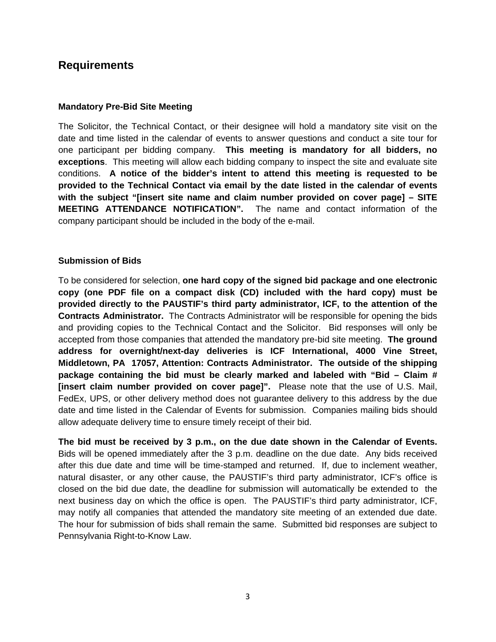## **Requirements**

#### **Mandatory Pre-Bid Site Meeting**

The Solicitor, the Technical Contact, or their designee will hold a mandatory site visit on the date and time listed in the calendar of events to answer questions and conduct a site tour for one participant per bidding company. **This meeting is mandatory for all bidders, no exceptions**. This meeting will allow each bidding company to inspect the site and evaluate site conditions. **A notice of the bidder's intent to attend this meeting is requested to be provided to the Technical Contact via email by the date listed in the calendar of events with the subject "[insert site name and claim number provided on cover page] – SITE MEETING ATTENDANCE NOTIFICATION".** The name and contact information of the company participant should be included in the body of the e-mail.

#### **Submission of Bids**

To be considered for selection, **one hard copy of the signed bid package and one electronic copy (one PDF file on a compact disk (CD) included with the hard copy) must be provided directly to the PAUSTIF's third party administrator, ICF, to the attention of the Contracts Administrator.** The Contracts Administrator will be responsible for opening the bids and providing copies to the Technical Contact and the Solicitor. Bid responses will only be accepted from those companies that attended the mandatory pre-bid site meeting. **The ground address for overnight/next-day deliveries is ICF International, 4000 Vine Street, Middletown, PA 17057, Attention: Contracts Administrator. The outside of the shipping package containing the bid must be clearly marked and labeled with "Bid – Claim # [insert claim number provided on cover page]".** Please note that the use of U.S. Mail, FedEx, UPS, or other delivery method does not guarantee delivery to this address by the due date and time listed in the Calendar of Events for submission. Companies mailing bids should allow adequate delivery time to ensure timely receipt of their bid.

**The bid must be received by 3 p.m., on the due date shown in the Calendar of Events.** Bids will be opened immediately after the 3 p.m. deadline on the due date. Any bids received after this due date and time will be time-stamped and returned. If, due to inclement weather, natural disaster, or any other cause, the PAUSTIF's third party administrator, ICF's office is closed on the bid due date, the deadline for submission will automatically be extended to the next business day on which the office is open. The PAUSTIF's third party administrator, ICF, may notify all companies that attended the mandatory site meeting of an extended due date. The hour for submission of bids shall remain the same. Submitted bid responses are subject to Pennsylvania Right-to-Know Law.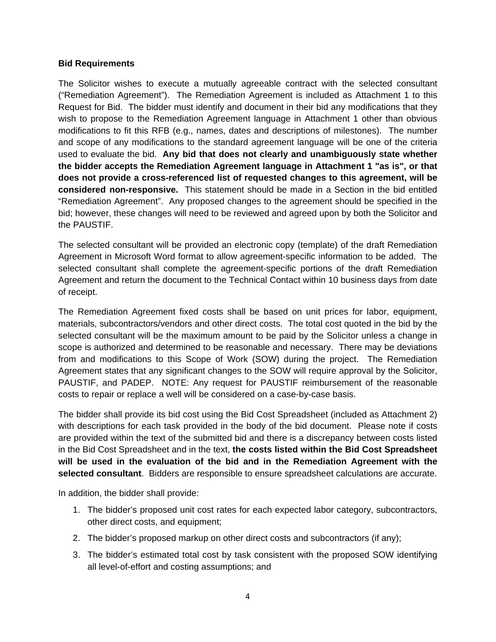#### **Bid Requirements**

The Solicitor wishes to execute a mutually agreeable contract with the selected consultant ("Remediation Agreement"). The Remediation Agreement is included as Attachment 1 to this Request for Bid. The bidder must identify and document in their bid any modifications that they wish to propose to the Remediation Agreement language in Attachment 1 other than obvious modifications to fit this RFB (e.g., names, dates and descriptions of milestones). The number and scope of any modifications to the standard agreement language will be one of the criteria used to evaluate the bid. **Any bid that does not clearly and unambiguously state whether the bidder accepts the Remediation Agreement language in Attachment 1 "as is", or that does not provide a cross-referenced list of requested changes to this agreement, will be considered non-responsive.** This statement should be made in a Section in the bid entitled "Remediation Agreement". Any proposed changes to the agreement should be specified in the bid; however, these changes will need to be reviewed and agreed upon by both the Solicitor and the PAUSTIF.

The selected consultant will be provided an electronic copy (template) of the draft Remediation Agreement in Microsoft Word format to allow agreement-specific information to be added. The selected consultant shall complete the agreement-specific portions of the draft Remediation Agreement and return the document to the Technical Contact within 10 business days from date of receipt.

The Remediation Agreement fixed costs shall be based on unit prices for labor, equipment, materials, subcontractors/vendors and other direct costs. The total cost quoted in the bid by the selected consultant will be the maximum amount to be paid by the Solicitor unless a change in scope is authorized and determined to be reasonable and necessary. There may be deviations from and modifications to this Scope of Work (SOW) during the project. The Remediation Agreement states that any significant changes to the SOW will require approval by the Solicitor, PAUSTIF, and PADEP. NOTE: Any request for PAUSTIF reimbursement of the reasonable costs to repair or replace a well will be considered on a case-by-case basis.

The bidder shall provide its bid cost using the Bid Cost Spreadsheet (included as Attachment 2) with descriptions for each task provided in the body of the bid document. Please note if costs are provided within the text of the submitted bid and there is a discrepancy between costs listed in the Bid Cost Spreadsheet and in the text, **the costs listed within the Bid Cost Spreadsheet will be used in the evaluation of the bid and in the Remediation Agreement with the selected consultant**. Bidders are responsible to ensure spreadsheet calculations are accurate.

In addition, the bidder shall provide:

- 1. The bidder's proposed unit cost rates for each expected labor category, subcontractors, other direct costs, and equipment;
- 2. The bidder's proposed markup on other direct costs and subcontractors (if any);
- 3. The bidder's estimated total cost by task consistent with the proposed SOW identifying all level-of-effort and costing assumptions; and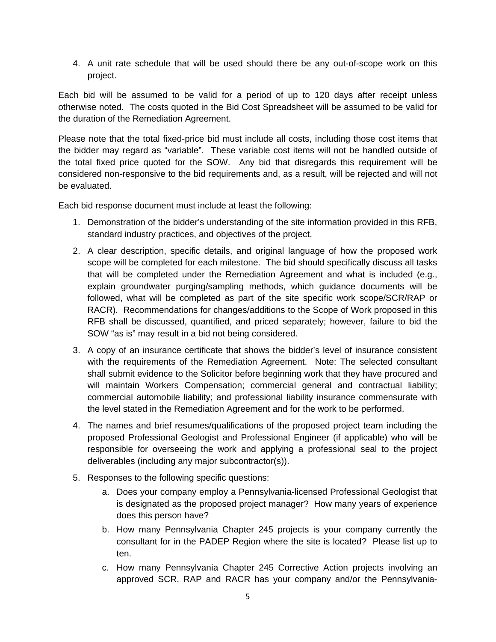4. A unit rate schedule that will be used should there be any out-of-scope work on this project.

Each bid will be assumed to be valid for a period of up to 120 days after receipt unless otherwise noted. The costs quoted in the Bid Cost Spreadsheet will be assumed to be valid for the duration of the Remediation Agreement.

Please note that the total fixed-price bid must include all costs, including those cost items that the bidder may regard as "variable". These variable cost items will not be handled outside of the total fixed price quoted for the SOW. Any bid that disregards this requirement will be considered non-responsive to the bid requirements and, as a result, will be rejected and will not be evaluated.

Each bid response document must include at least the following:

- 1. Demonstration of the bidder's understanding of the site information provided in this RFB, standard industry practices, and objectives of the project.
- 2. A clear description, specific details, and original language of how the proposed work scope will be completed for each milestone. The bid should specifically discuss all tasks that will be completed under the Remediation Agreement and what is included (e.g., explain groundwater purging/sampling methods, which guidance documents will be followed, what will be completed as part of the site specific work scope/SCR/RAP or RACR). Recommendations for changes/additions to the Scope of Work proposed in this RFB shall be discussed, quantified, and priced separately; however, failure to bid the SOW "as is" may result in a bid not being considered.
- 3. A copy of an insurance certificate that shows the bidder's level of insurance consistent with the requirements of the Remediation Agreement. Note: The selected consultant shall submit evidence to the Solicitor before beginning work that they have procured and will maintain Workers Compensation; commercial general and contractual liability; commercial automobile liability; and professional liability insurance commensurate with the level stated in the Remediation Agreement and for the work to be performed.
- 4. The names and brief resumes/qualifications of the proposed project team including the proposed Professional Geologist and Professional Engineer (if applicable) who will be responsible for overseeing the work and applying a professional seal to the project deliverables (including any major subcontractor(s)).
- 5. Responses to the following specific questions:
	- a. Does your company employ a Pennsylvania-licensed Professional Geologist that is designated as the proposed project manager? How many years of experience does this person have?
	- b. How many Pennsylvania Chapter 245 projects is your company currently the consultant for in the PADEP Region where the site is located? Please list up to ten.
	- c. How many Pennsylvania Chapter 245 Corrective Action projects involving an approved SCR, RAP and RACR has your company and/or the Pennsylvania-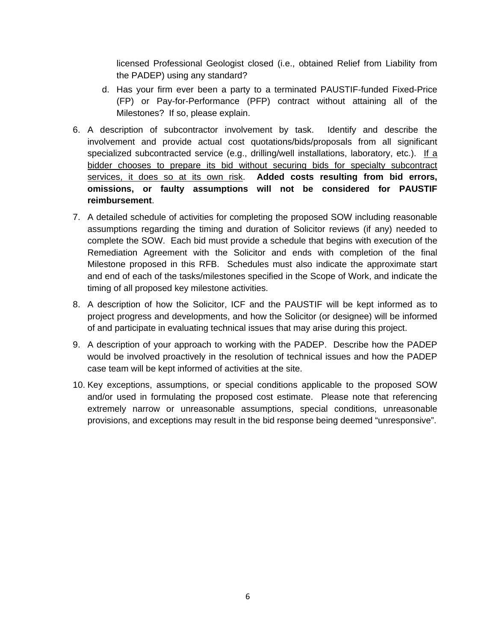licensed Professional Geologist closed (i.e., obtained Relief from Liability from the PADEP) using any standard?

- d. Has your firm ever been a party to a terminated PAUSTIF-funded Fixed-Price (FP) or Pay-for-Performance (PFP) contract without attaining all of the Milestones? If so, please explain.
- 6. A description of subcontractor involvement by task. Identify and describe the involvement and provide actual cost quotations/bids/proposals from all significant specialized subcontracted service (e.g., drilling/well installations, laboratory, etc.). If a bidder chooses to prepare its bid without securing bids for specialty subcontract services, it does so at its own risk. **Added costs resulting from bid errors, omissions, or faulty assumptions will not be considered for PAUSTIF reimbursement**.
- 7. A detailed schedule of activities for completing the proposed SOW including reasonable assumptions regarding the timing and duration of Solicitor reviews (if any) needed to complete the SOW. Each bid must provide a schedule that begins with execution of the Remediation Agreement with the Solicitor and ends with completion of the final Milestone proposed in this RFB. Schedules must also indicate the approximate start and end of each of the tasks/milestones specified in the Scope of Work, and indicate the timing of all proposed key milestone activities.
- 8. A description of how the Solicitor, ICF and the PAUSTIF will be kept informed as to project progress and developments, and how the Solicitor (or designee) will be informed of and participate in evaluating technical issues that may arise during this project.
- 9. A description of your approach to working with the PADEP. Describe how the PADEP would be involved proactively in the resolution of technical issues and how the PADEP case team will be kept informed of activities at the site.
- 10. Key exceptions, assumptions, or special conditions applicable to the proposed SOW and/or used in formulating the proposed cost estimate. Please note that referencing extremely narrow or unreasonable assumptions, special conditions, unreasonable provisions, and exceptions may result in the bid response being deemed "unresponsive".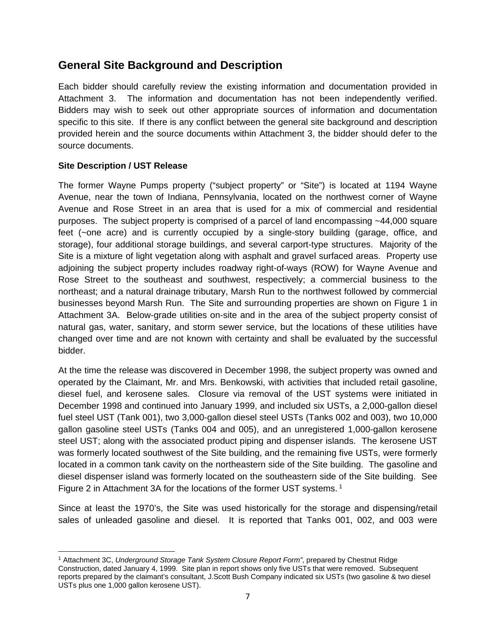## **General Site Background and Description**

Each bidder should carefully review the existing information and documentation provided in Attachment 3. The information and documentation has not been independently verified. Bidders may wish to seek out other appropriate sources of information and documentation specific to this site. If there is any conflict between the general site background and description provided herein and the source documents within Attachment 3, the bidder should defer to the source documents.

### **Site Description / UST Release**

The former Wayne Pumps property ("subject property" or "Site") is located at 1194 Wayne Avenue, near the town of Indiana, Pennsylvania, located on the northwest corner of Wayne Avenue and Rose Street in an area that is used for a mix of commercial and residential purposes. The subject property is comprised of a parcel of land encompassing ~44,000 square feet (~one acre) and is currently occupied by a single-story building (garage, office, and storage), four additional storage buildings, and several carport-type structures. Majority of the Site is a mixture of light vegetation along with asphalt and gravel surfaced areas. Property use adjoining the subject property includes roadway right-of-ways (ROW) for Wayne Avenue and Rose Street to the southeast and southwest, respectively; a commercial business to the northeast; and a natural drainage tributary, Marsh Run to the northwest followed by commercial businesses beyond Marsh Run. The Site and surrounding properties are shown on Figure 1 in Attachment 3A. Below-grade utilities on-site and in the area of the subject property consist of natural gas, water, sanitary, and storm sewer service, but the locations of these utilities have changed over time and are not known with certainty and shall be evaluated by the successful bidder.

At the time the release was discovered in December 1998, the subject property was owned and operated by the Claimant, Mr. and Mrs. Benkowski, with activities that included retail gasoline, diesel fuel, and kerosene sales. Closure via removal of the UST systems were initiated in December 1998 and continued into January 1999, and included six USTs, a 2,000-gallon diesel fuel steel UST (Tank 001), two 3,000-gallon diesel steel USTs (Tanks 002 and 003), two 10,000 gallon gasoline steel USTs (Tanks 004 and 005), and an unregistered 1,000-gallon kerosene steel UST; along with the associated product piping and dispenser islands. The kerosene UST was formerly located southwest of the Site building, and the remaining five USTs, were formerly located in a common tank cavity on the northeastern side of the Site building. The gasoline and diesel dispenser island was formerly located on the southeastern side of the Site building. See Figure 2 in Attachment 3A for the locations of the former UST systems.<sup>1</sup>

Since at least the 1970's, the Site was used historically for the storage and dispensing/retail sales of unleaded gasoline and diesel. It is reported that Tanks 001, 002, and 003 were

 1 Attachment 3C, *Underground Storage Tank System Closure Report Form"*, prepared by Chestnut Ridge Construction, dated January 4, 1999. Site plan in report shows only five USTs that were removed. Subsequent reports prepared by the claimant's consultant, J.Scott Bush Company indicated six USTs (two gasoline & two diesel USTs plus one 1,000 gallon kerosene UST).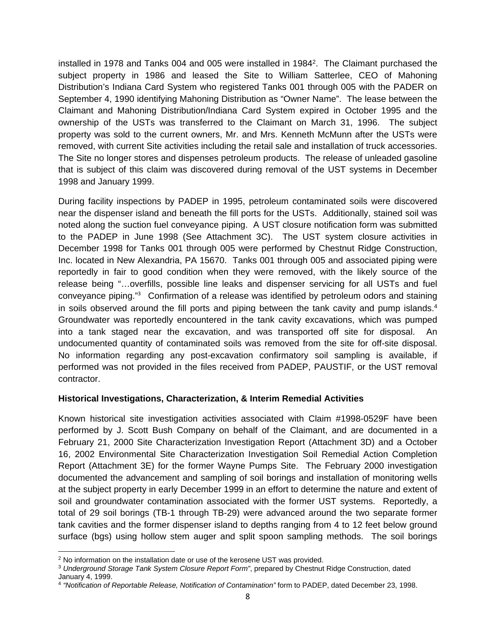installed in 1978 and Tanks 004 and 005 were installed in 19842. The Claimant purchased the subject property in 1986 and leased the Site to William Satterlee, CEO of Mahoning Distribution's Indiana Card System who registered Tanks 001 through 005 with the PADER on September 4, 1990 identifying Mahoning Distribution as "Owner Name". The lease between the Claimant and Mahoning Distribution/Indiana Card System expired in October 1995 and the ownership of the USTs was transferred to the Claimant on March 31, 1996. The subject property was sold to the current owners, Mr. and Mrs. Kenneth McMunn after the USTs were removed, with current Site activities including the retail sale and installation of truck accessories. The Site no longer stores and dispenses petroleum products. The release of unleaded gasoline that is subject of this claim was discovered during removal of the UST systems in December 1998 and January 1999.

During facility inspections by PADEP in 1995, petroleum contaminated soils were discovered near the dispenser island and beneath the fill ports for the USTs. Additionally, stained soil was noted along the suction fuel conveyance piping. A UST closure notification form was submitted to the PADEP in June 1998 (See Attachment 3C). The UST system closure activities in December 1998 for Tanks 001 through 005 were performed by Chestnut Ridge Construction, Inc. located in New Alexandria, PA 15670. Tanks 001 through 005 and associated piping were reportedly in fair to good condition when they were removed, with the likely source of the release being "…overfills, possible line leaks and dispenser servicing for all USTs and fuel conveyance piping."<sup>3</sup> Confirmation of a release was identified by petroleum odors and staining in soils observed around the fill ports and piping between the tank cavity and pump islands.<sup>4</sup> Groundwater was reportedly encountered in the tank cavity excavations, which was pumped into a tank staged near the excavation, and was transported off site for disposal. An undocumented quantity of contaminated soils was removed from the site for off-site disposal. No information regarding any post-excavation confirmatory soil sampling is available, if performed was not provided in the files received from PADEP, PAUSTIF, or the UST removal contractor.

#### **Historical Investigations, Characterization, & Interim Remedial Activities**

Known historical site investigation activities associated with Claim #1998-0529F have been performed by J. Scott Bush Company on behalf of the Claimant, and are documented in a February 21, 2000 Site Characterization Investigation Report (Attachment 3D) and a October 16, 2002 Environmental Site Characterization Investigation Soil Remedial Action Completion Report (Attachment 3E) for the former Wayne Pumps Site. The February 2000 investigation documented the advancement and sampling of soil borings and installation of monitoring wells at the subject property in early December 1999 in an effort to determine the nature and extent of soil and groundwater contamination associated with the former UST systems. Reportedly, a total of 29 soil borings (TB-1 through TB-29) were advanced around the two separate former tank cavities and the former dispenser island to depths ranging from 4 to 12 feet below ground surface (bgs) using hollow stem auger and split spoon sampling methods. The soil borings

<sup>&</sup>lt;sup>2</sup> No information on the installation date or use of the kerosene UST was provided.<br><sup>3</sup> *Underground Storage Tank System Closure Report Form*", prepared by Chestnut Ridge Construction, dated January 4, 1999.

<sup>4</sup> *"Notification of Reportable Release, Notification of Contamination"* form to PADEP, dated December 23, 1998.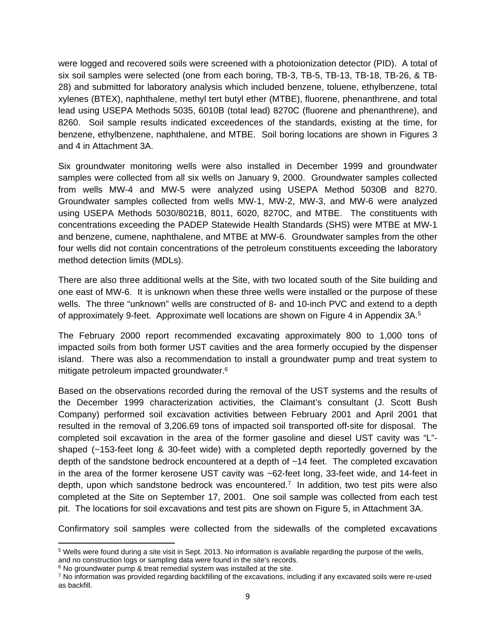were logged and recovered soils were screened with a photoionization detector (PID). A total of six soil samples were selected (one from each boring, TB-3, TB-5, TB-13, TB-18, TB-26, & TB-28) and submitted for laboratory analysis which included benzene, toluene, ethylbenzene, total xylenes (BTEX), naphthalene, methyl tert butyl ether (MTBE), fluorene, phenanthrene, and total lead using USEPA Methods 5035, 6010B (total lead) 8270C (fluorene and phenanthrene), and 8260. Soil sample results indicated exceedences of the standards, existing at the time, for benzene, ethylbenzene, naphthalene, and MTBE. Soil boring locations are shown in Figures 3 and 4 in Attachment 3A.

Six groundwater monitoring wells were also installed in December 1999 and groundwater samples were collected from all six wells on January 9, 2000. Groundwater samples collected from wells MW-4 and MW-5 were analyzed using USEPA Method 5030B and 8270. Groundwater samples collected from wells MW-1, MW-2, MW-3, and MW-6 were analyzed using USEPA Methods 5030/8021B, 8011, 6020, 8270C, and MTBE. The constituents with concentrations exceeding the PADEP Statewide Health Standards (SHS) were MTBE at MW-1 and benzene, cumene, naphthalene, and MTBE at MW-6. Groundwater samples from the other four wells did not contain concentrations of the petroleum constituents exceeding the laboratory method detection limits (MDLs).

There are also three additional wells at the Site, with two located south of the Site building and one east of MW-6. It is unknown when these three wells were installed or the purpose of these wells. The three "unknown" wells are constructed of 8- and 10-inch PVC and extend to a depth of approximately 9-feet. Approximate well locations are shown on Figure 4 in Appendix 3A.5

The February 2000 report recommended excavating approximately 800 to 1,000 tons of impacted soils from both former UST cavities and the area formerly occupied by the dispenser island. There was also a recommendation to install a groundwater pump and treat system to mitigate petroleum impacted groundwater.6

Based on the observations recorded during the removal of the UST systems and the results of the December 1999 characterization activities, the Claimant's consultant (J. Scott Bush Company) performed soil excavation activities between February 2001 and April 2001 that resulted in the removal of 3,206.69 tons of impacted soil transported off-site for disposal. The completed soil excavation in the area of the former gasoline and diesel UST cavity was "L" shaped (~153-feet long & 30-feet wide) with a completed depth reportedly governed by the depth of the sandstone bedrock encountered at a depth of ~14 feet. The completed excavation in the area of the former kerosene UST cavity was ~62-feet long, 33-feet wide, and 14-feet in depth, upon which sandstone bedrock was encountered.<sup> $7$ </sup> In addition, two test pits were also completed at the Site on September 17, 2001. One soil sample was collected from each test pit. The locations for soil excavations and test pits are shown on Figure 5, in Attachment 3A.

Confirmatory soil samples were collected from the sidewalls of the completed excavations

 5 Wells were found during a site visit in Sept. 2013. No information is available regarding the purpose of the wells,

and no construction logs or sampling data were found in the site's records.  $6$  No groundwater pump & treat remedial system was installed at the site.

<sup>7</sup> No information was provided regarding backfilling of the excavations, including if any excavated soils were re-used as backfill.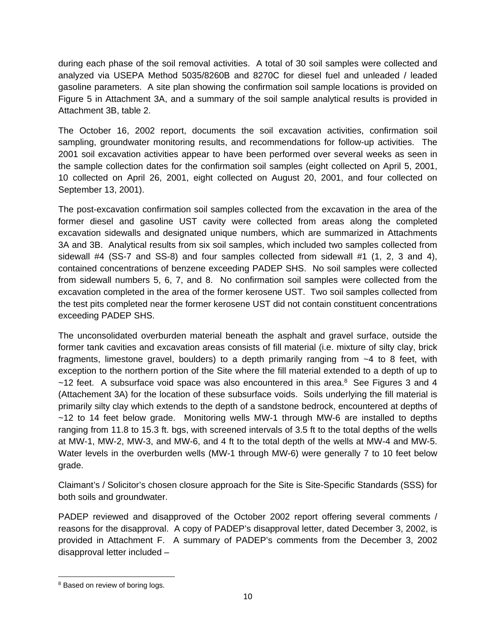during each phase of the soil removal activities. A total of 30 soil samples were collected and analyzed via USEPA Method 5035/8260B and 8270C for diesel fuel and unleaded / leaded gasoline parameters. A site plan showing the confirmation soil sample locations is provided on Figure 5 in Attachment 3A, and a summary of the soil sample analytical results is provided in Attachment 3B, table 2.

The October 16, 2002 report, documents the soil excavation activities, confirmation soil sampling, groundwater monitoring results, and recommendations for follow-up activities. The 2001 soil excavation activities appear to have been performed over several weeks as seen in the sample collection dates for the confirmation soil samples (eight collected on April 5, 2001, 10 collected on April 26, 2001, eight collected on August 20, 2001, and four collected on September 13, 2001).

The post-excavation confirmation soil samples collected from the excavation in the area of the former diesel and gasoline UST cavity were collected from areas along the completed excavation sidewalls and designated unique numbers, which are summarized in Attachments 3A and 3B. Analytical results from six soil samples, which included two samples collected from sidewall #4 (SS-7 and SS-8) and four samples collected from sidewall #1 (1, 2, 3 and 4), contained concentrations of benzene exceeding PADEP SHS. No soil samples were collected from sidewall numbers 5, 6, 7, and 8. No confirmation soil samples were collected from the excavation completed in the area of the former kerosene UST. Two soil samples collected from the test pits completed near the former kerosene UST did not contain constituent concentrations exceeding PADEP SHS.

The unconsolidated overburden material beneath the asphalt and gravel surface, outside the former tank cavities and excavation areas consists of fill material (i.e. mixture of silty clay, brick fragments, limestone gravel, boulders) to a depth primarily ranging from ~4 to 8 feet, with exception to the northern portion of the Site where the fill material extended to a depth of up to  $\sim$ 12 feet. A subsurface void space was also encountered in this area.<sup>8</sup> See Figures 3 and 4 (Attachement 3A) for the location of these subsurface voids. Soils underlying the fill material is primarily silty clay which extends to the depth of a sandstone bedrock, encountered at depths of ~12 to 14 feet below grade. Monitoring wells MW-1 through MW-6 are installed to depths ranging from 11.8 to 15.3 ft. bgs, with screened intervals of 3.5 ft to the total depths of the wells at MW-1, MW-2, MW-3, and MW-6, and 4 ft to the total depth of the wells at MW-4 and MW-5. Water levels in the overburden wells (MW-1 through MW-6) were generally 7 to 10 feet below grade.

Claimant's / Solicitor's chosen closure approach for the Site is Site-Specific Standards (SSS) for both soils and groundwater.

PADEP reviewed and disapproved of the October 2002 report offering several comments / reasons for the disapproval. A copy of PADEP's disapproval letter, dated December 3, 2002, is provided in Attachment F. A summary of PADEP's comments from the December 3, 2002 disapproval letter included –

 8 Based on review of boring logs.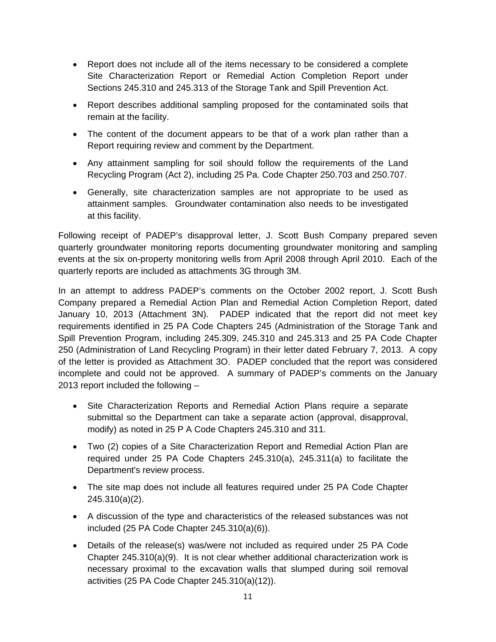- Report does not include all of the items necessary to be considered a complete Site Characterization Report or Remedial Action Completion Report under Sections 245.310 and 245.313 of the Storage Tank and Spill Prevention Act.
- Report describes additional sampling proposed for the contaminated soils that remain at the facility.
- The content of the document appears to be that of a work plan rather than a Report requiring review and comment by the Department.
- Any attainment sampling for soil should follow the requirements of the Land Recycling Program (Act 2), including 25 Pa. Code Chapter 250.703 and 250.707.
- Generally, site characterization samples are not appropriate to be used as attainment samples. Groundwater contamination also needs to be investigated at this facility.

Following receipt of PADEP's disapproval letter, J. Scott Bush Company prepared seven quarterly groundwater monitoring reports documenting groundwater monitoring and sampling events at the six on-property monitoring wells from April 2008 through April 2010. Each of the quarterly reports are included as attachments 3G through 3M.

In an attempt to address PADEP's comments on the October 2002 report, J. Scott Bush Company prepared a Remedial Action Plan and Remedial Action Completion Report, dated January 10, 2013 (Attachment 3N). PADEP indicated that the report did not meet key requirements identified in 25 PA Code Chapters 245 (Administration of the Storage Tank and Spill Prevention Program, including 245.309, 245.310 and 245.313 and 25 PA Code Chapter 250 (Administration of Land Recycling Program) in their letter dated February 7, 2013. A copy of the letter is provided as Attachment 3O. PADEP concluded that the report was considered incomplete and could not be approved. A summary of PADEP's comments on the January 2013 report included the following –

- Site Characterization Reports and Remedial Action Plans require a separate submittal so the Department can take a separate action (approval, disapproval, modify) as noted in 25 P A Code Chapters 245.310 and 311.
- Two (2) copies of a Site Characterization Report and Remedial Action Plan are required under 25 PA Code Chapters 245.310(a), 245.311(a) to facilitate the Department's review process.
- The site map does not include all features required under 25 PA Code Chapter 245.310(a)(2).
- A discussion of the type and characteristics of the released substances was not included (25 PA Code Chapter 245.310(a)(6)).
- Details of the release(s) was/were not included as required under 25 PA Code Chapter 245.310(a)(9). It is not clear whether additional characterization work is necessary proximal to the excavation walls that slumped during soil removal activities (25 PA Code Chapter 245.310(a)(12)).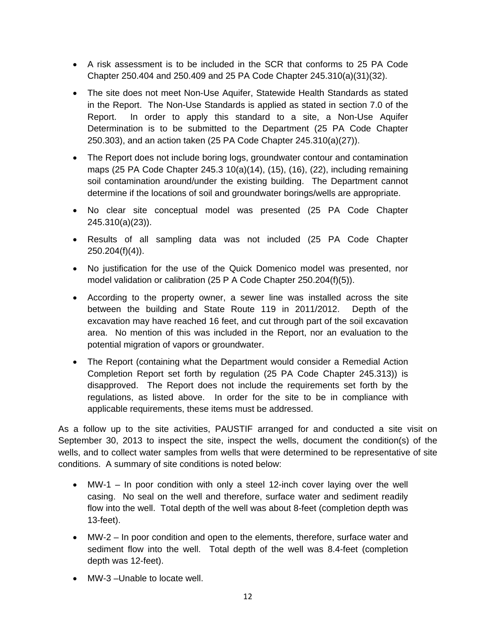- A risk assessment is to be included in the SCR that conforms to 25 PA Code Chapter 250.404 and 250.409 and 25 PA Code Chapter 245.310(a)(31)(32).
- The site does not meet Non-Use Aquifer, Statewide Health Standards as stated in the Report. The Non-Use Standards is applied as stated in section 7.0 of the Report. In order to apply this standard to a site, a Non-Use Aquifer Determination is to be submitted to the Department (25 PA Code Chapter 250.303), and an action taken (25 PA Code Chapter 245.310(a)(27)).
- The Report does not include boring logs, groundwater contour and contamination maps (25 PA Code Chapter 245.3 10(a)(14), (15), (16), (22), including remaining soil contamination around/under the existing building. The Department cannot determine if the locations of soil and groundwater borings/wells are appropriate.
- No clear site conceptual model was presented (25 PA Code Chapter 245.310(a)(23)).
- Results of all sampling data was not included (25 PA Code Chapter 250.204(f)(4)).
- No justification for the use of the Quick Domenico model was presented, nor model validation or calibration (25 P A Code Chapter 250.204(f)(5)).
- According to the property owner, a sewer line was installed across the site between the building and State Route 119 in 2011/2012. Depth of the excavation may have reached 16 feet, and cut through part of the soil excavation area. No mention of this was included in the Report, nor an evaluation to the potential migration of vapors or groundwater.
- The Report (containing what the Department would consider a Remedial Action Completion Report set forth by regulation (25 PA Code Chapter 245.313)) is disapproved. The Report does not include the requirements set forth by the regulations, as listed above. In order for the site to be in compliance with applicable requirements, these items must be addressed.

As a follow up to the site activities, PAUSTIF arranged for and conducted a site visit on September 30, 2013 to inspect the site, inspect the wells, document the condition(s) of the wells, and to collect water samples from wells that were determined to be representative of site conditions. A summary of site conditions is noted below:

- MW-1 In poor condition with only a steel 12-inch cover laying over the well casing. No seal on the well and therefore, surface water and sediment readily flow into the well. Total depth of the well was about 8-feet (completion depth was 13-feet).
- MW-2 In poor condition and open to the elements, therefore, surface water and sediment flow into the well. Total depth of the well was 8.4-feet (completion depth was 12-feet).
- MW-3 Unable to locate well.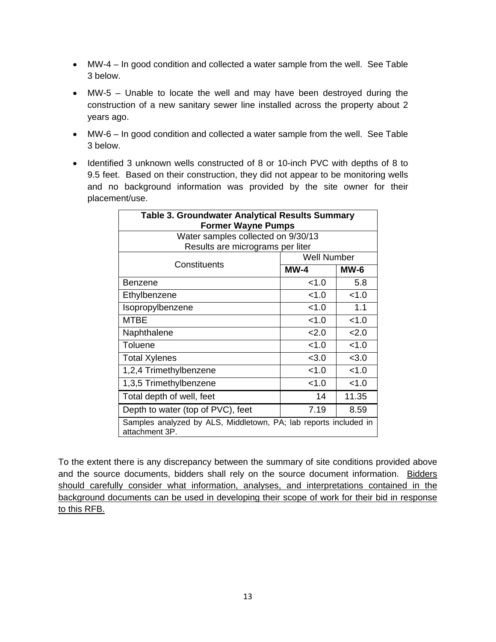- MW-4 In good condition and collected a water sample from the well. See Table 3 below.
- MW-5 Unable to locate the well and may have been destroyed during the construction of a new sanitary sewer line installed across the property about 2 years ago.
- MW-6 In good condition and collected a water sample from the well. See Table 3 below.
- Identified 3 unknown wells constructed of 8 or 10-inch PVC with depths of 8 to 9.5 feet. Based on their construction, they did not appear to be monitoring wells and no background information was provided by the site owner for their placement/use.

| <b>Table 3. Groundwater Analytical Results Summary</b><br><b>Former Wayne Pumps</b> |                    |        |
|-------------------------------------------------------------------------------------|--------------------|--------|
| Water samples collected on 9/30/13                                                  |                    |        |
| Results are micrograms per liter                                                    |                    |        |
| Constituents                                                                        | <b>Well Number</b> |        |
|                                                                                     | $MW-4$             | $MW-6$ |
| Benzene                                                                             | < 1.0              | 5.8    |
| Ethylbenzene                                                                        | < 1.0              | < 1.0  |
| Isopropylbenzene                                                                    | <1.0               | 1.1    |
| <b>MTBE</b>                                                                         | < 1.0              | < 1.0  |
| Naphthalene                                                                         | 2.0                | 2.0    |
| Toluene                                                                             | < 1.0              | < 1.0  |
| <b>Total Xylenes</b>                                                                | < 3.0              | < 3.0  |
| 1,2,4 Trimethylbenzene                                                              | 1.0                | < 1.0  |
| 1,3,5 Trimethylbenzene                                                              | < 1.0              | < 1.0  |
| Total depth of well, feet                                                           | 14                 | 11.35  |
| Depth to water (top of PVC), feet                                                   | 7.19               | 8.59   |
| Samples analyzed by ALS, Middletown, PA; lab reports included in<br>attachment 3P.  |                    |        |

To the extent there is any discrepancy between the summary of site conditions provided above and the source documents, bidders shall rely on the source document information. Bidders should carefully consider what information, analyses, and interpretations contained in the background documents can be used in developing their scope of work for their bid in response to this RFB.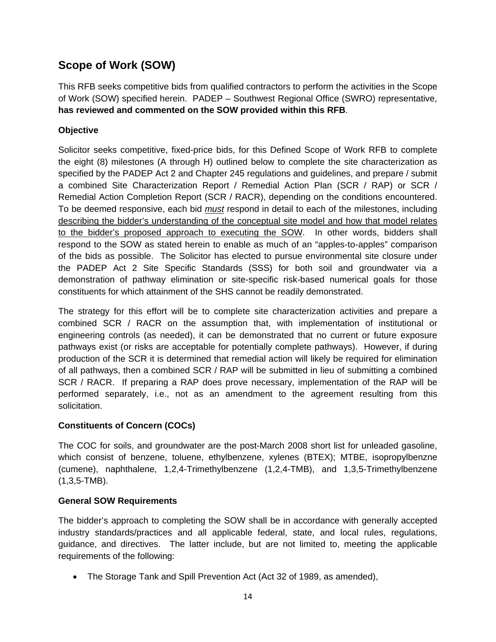# **Scope of Work (SOW)**

This RFB seeks competitive bids from qualified contractors to perform the activities in the Scope of Work (SOW) specified herein. PADEP – Southwest Regional Office (SWRO) representative, **has reviewed and commented on the SOW provided within this RFB**.

### **Objective**

Solicitor seeks competitive, fixed-price bids, for this Defined Scope of Work RFB to complete the eight (8) milestones (A through H) outlined below to complete the site characterization as specified by the PADEP Act 2 and Chapter 245 regulations and guidelines, and prepare / submit a combined Site Characterization Report / Remedial Action Plan (SCR / RAP) or SCR / Remedial Action Completion Report (SCR / RACR), depending on the conditions encountered. To be deemed responsive, each bid *must* respond in detail to each of the milestones, including describing the bidder's understanding of the conceptual site model and how that model relates to the bidder's proposed approach to executing the SOW. In other words, bidders shall respond to the SOW as stated herein to enable as much of an "apples-to-apples" comparison of the bids as possible. The Solicitor has elected to pursue environmental site closure under the PADEP Act 2 Site Specific Standards (SSS) for both soil and groundwater via a demonstration of pathway elimination or site-specific risk-based numerical goals for those constituents for which attainment of the SHS cannot be readily demonstrated.

The strategy for this effort will be to complete site characterization activities and prepare a combined SCR / RACR on the assumption that, with implementation of institutional or engineering controls (as needed), it can be demonstrated that no current or future exposure pathways exist (or risks are acceptable for potentially complete pathways). However, if during production of the SCR it is determined that remedial action will likely be required for elimination of all pathways, then a combined SCR / RAP will be submitted in lieu of submitting a combined SCR / RACR. If preparing a RAP does prove necessary, implementation of the RAP will be performed separately, i.e., not as an amendment to the agreement resulting from this solicitation.

### **Constituents of Concern (COCs)**

The COC for soils, and groundwater are the post-March 2008 short list for unleaded gasoline, which consist of benzene, toluene, ethylbenzene, xylenes (BTEX); MTBE, isopropylbenzne (cumene), naphthalene, 1,2,4-Trimethylbenzene (1,2,4-TMB), and 1,3,5-Trimethylbenzene (1,3,5-TMB).

### **General SOW Requirements**

The bidder's approach to completing the SOW shall be in accordance with generally accepted industry standards/practices and all applicable federal, state, and local rules, regulations, guidance, and directives. The latter include, but are not limited to, meeting the applicable requirements of the following:

The Storage Tank and Spill Prevention Act (Act 32 of 1989, as amended),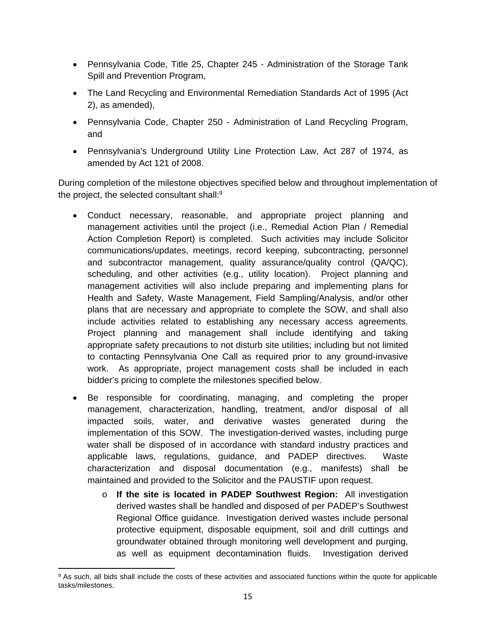- Pennsylvania Code, Title 25, Chapter 245 Administration of the Storage Tank Spill and Prevention Program,
- The Land Recycling and Environmental Remediation Standards Act of 1995 (Act 2), as amended),
- Pennsylvania Code, Chapter 250 Administration of Land Recycling Program, and
- Pennsylvania's Underground Utility Line Protection Law, Act 287 of 1974, as amended by Act 121 of 2008.

During completion of the milestone objectives specified below and throughout implementation of the project, the selected consultant shall:<sup>9</sup>

- Conduct necessary, reasonable, and appropriate project planning and management activities until the project (i.e., Remedial Action Plan / Remedial Action Completion Report) is completed. Such activities may include Solicitor communications/updates, meetings, record keeping, subcontracting, personnel and subcontractor management, quality assurance/quality control (QA/QC), scheduling, and other activities (e.g., utility location). Project planning and management activities will also include preparing and implementing plans for Health and Safety, Waste Management, Field Sampling/Analysis, and/or other plans that are necessary and appropriate to complete the SOW, and shall also include activities related to establishing any necessary access agreements. Project planning and management shall include identifying and taking appropriate safety precautions to not disturb site utilities; including but not limited to contacting Pennsylvania One Call as required prior to any ground-invasive work. As appropriate, project management costs shall be included in each bidder's pricing to complete the milestones specified below.
- Be responsible for coordinating, managing, and completing the proper management, characterization, handling, treatment, and/or disposal of all impacted soils, water, and derivative wastes generated during the implementation of this SOW. The investigation-derived wastes, including purge water shall be disposed of in accordance with standard industry practices and applicable laws, regulations, guidance, and PADEP directives. Waste characterization and disposal documentation (e.g., manifests) shall be maintained and provided to the Solicitor and the PAUSTIF upon request.
	- o **If the site is located in PADEP Southwest Region:** All investigation derived wastes shall be handled and disposed of per PADEP's Southwest Regional Office guidance. Investigation derived wastes include personal protective equipment, disposable equipment, soil and drill cuttings and groundwater obtained through monitoring well development and purging, as well as equipment decontamination fluids. Investigation derived

 9 As such, all bids shall include the costs of these activities and associated functions within the quote for applicable tasks/milestones.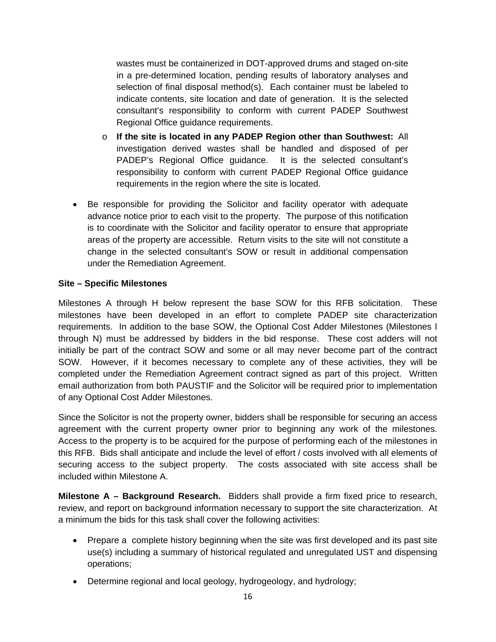wastes must be containerized in DOT-approved drums and staged on-site in a pre-determined location, pending results of laboratory analyses and selection of final disposal method(s). Each container must be labeled to indicate contents, site location and date of generation. It is the selected consultant's responsibility to conform with current PADEP Southwest Regional Office guidance requirements.

- o **If the site is located in any PADEP Region other than Southwest:** All investigation derived wastes shall be handled and disposed of per PADEP's Regional Office guidance. It is the selected consultant's responsibility to conform with current PADEP Regional Office guidance requirements in the region where the site is located.
- Be responsible for providing the Solicitor and facility operator with adequate advance notice prior to each visit to the property. The purpose of this notification is to coordinate with the Solicitor and facility operator to ensure that appropriate areas of the property are accessible. Return visits to the site will not constitute a change in the selected consultant's SOW or result in additional compensation under the Remediation Agreement.

### **Site – Specific Milestones**

Milestones A through H below represent the base SOW for this RFB solicitation. These milestones have been developed in an effort to complete PADEP site characterization requirements. In addition to the base SOW, the Optional Cost Adder Milestones (Milestones I through N) must be addressed by bidders in the bid response. These cost adders will not initially be part of the contract SOW and some or all may never become part of the contract SOW. However, if it becomes necessary to complete any of these activities, they will be completed under the Remediation Agreement contract signed as part of this project. Written email authorization from both PAUSTIF and the Solicitor will be required prior to implementation of any Optional Cost Adder Milestones.

Since the Solicitor is not the property owner, bidders shall be responsible for securing an access agreement with the current property owner prior to beginning any work of the milestones. Access to the property is to be acquired for the purpose of performing each of the milestones in this RFB. Bids shall anticipate and include the level of effort / costs involved with all elements of securing access to the subject property. The costs associated with site access shall be included within Milestone A.

**Milestone A – Background Research.** Bidders shall provide a firm fixed price to research, review, and report on background information necessary to support the site characterization. At a minimum the bids for this task shall cover the following activities:

- Prepare a complete history beginning when the site was first developed and its past site use(s) including a summary of historical regulated and unregulated UST and dispensing operations;
- Determine regional and local geology, hydrogeology, and hydrology;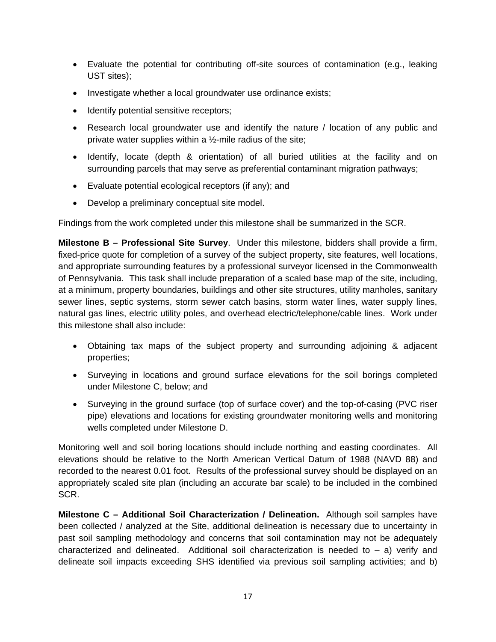- Evaluate the potential for contributing off-site sources of contamination (e.g., leaking UST sites);
- Investigate whether a local groundwater use ordinance exists;
- Identify potential sensitive receptors;
- Research local groundwater use and identify the nature / location of any public and private water supplies within a ½-mile radius of the site;
- Identify, locate (depth & orientation) of all buried utilities at the facility and on surrounding parcels that may serve as preferential contaminant migration pathways;
- Evaluate potential ecological receptors (if any); and
- Develop a preliminary conceptual site model.

Findings from the work completed under this milestone shall be summarized in the SCR.

**Milestone B – Professional Site Survey**. Under this milestone, bidders shall provide a firm, fixed-price quote for completion of a survey of the subject property, site features, well locations, and appropriate surrounding features by a professional surveyor licensed in the Commonwealth of Pennsylvania. This task shall include preparation of a scaled base map of the site, including, at a minimum, property boundaries, buildings and other site structures, utility manholes, sanitary sewer lines, septic systems, storm sewer catch basins, storm water lines, water supply lines, natural gas lines, electric utility poles, and overhead electric/telephone/cable lines. Work under this milestone shall also include:

- Obtaining tax maps of the subject property and surrounding adjoining & adjacent properties;
- Surveying in locations and ground surface elevations for the soil borings completed under Milestone C, below; and
- Surveying in the ground surface (top of surface cover) and the top-of-casing (PVC riser pipe) elevations and locations for existing groundwater monitoring wells and monitoring wells completed under Milestone D.

Monitoring well and soil boring locations should include northing and easting coordinates. All elevations should be relative to the North American Vertical Datum of 1988 (NAVD 88) and recorded to the nearest 0.01 foot. Results of the professional survey should be displayed on an appropriately scaled site plan (including an accurate bar scale) to be included in the combined SCR.

**Milestone C – Additional Soil Characterization / Delineation.** Although soil samples have been collected / analyzed at the Site, additional delineation is necessary due to uncertainty in past soil sampling methodology and concerns that soil contamination may not be adequately characterized and delineated. Additional soil characterization is needed to  $-$  a) verify and delineate soil impacts exceeding SHS identified via previous soil sampling activities; and b)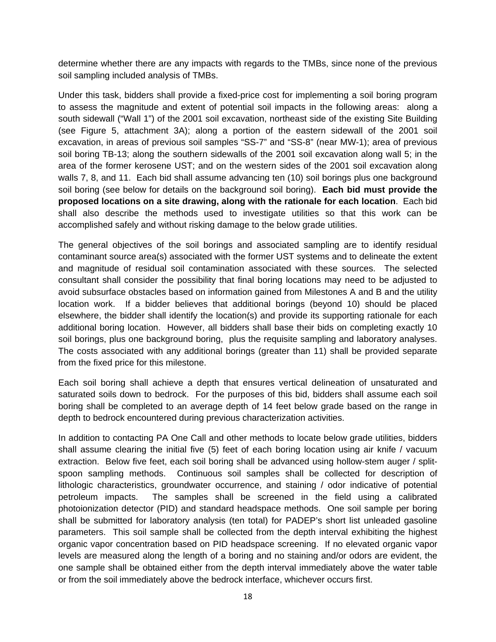determine whether there are any impacts with regards to the TMBs, since none of the previous soil sampling included analysis of TMBs.

Under this task, bidders shall provide a fixed-price cost for implementing a soil boring program to assess the magnitude and extent of potential soil impacts in the following areas: along a south sidewall ("Wall 1") of the 2001 soil excavation, northeast side of the existing Site Building (see Figure 5, attachment 3A); along a portion of the eastern sidewall of the 2001 soil excavation, in areas of previous soil samples "SS-7" and "SS-8" (near MW-1); area of previous soil boring TB-13; along the southern sidewalls of the 2001 soil excavation along wall 5; in the area of the former kerosene UST; and on the western sides of the 2001 soil excavation along walls 7, 8, and 11. Each bid shall assume advancing ten (10) soil borings plus one background soil boring (see below for details on the background soil boring). **Each bid must provide the proposed locations on a site drawing, along with the rationale for each location**. Each bid shall also describe the methods used to investigate utilities so that this work can be accomplished safely and without risking damage to the below grade utilities.

The general objectives of the soil borings and associated sampling are to identify residual contaminant source area(s) associated with the former UST systems and to delineate the extent and magnitude of residual soil contamination associated with these sources. The selected consultant shall consider the possibility that final boring locations may need to be adjusted to avoid subsurface obstacles based on information gained from Milestones A and B and the utility location work. If a bidder believes that additional borings (beyond 10) should be placed elsewhere, the bidder shall identify the location(s) and provide its supporting rationale for each additional boring location. However, all bidders shall base their bids on completing exactly 10 soil borings, plus one background boring, plus the requisite sampling and laboratory analyses. The costs associated with any additional borings (greater than 11) shall be provided separate from the fixed price for this milestone.

Each soil boring shall achieve a depth that ensures vertical delineation of unsaturated and saturated soils down to bedrock. For the purposes of this bid, bidders shall assume each soil boring shall be completed to an average depth of 14 feet below grade based on the range in depth to bedrock encountered during previous characterization activities.

In addition to contacting PA One Call and other methods to locate below grade utilities, bidders shall assume clearing the initial five (5) feet of each boring location using air knife / vacuum extraction. Below five feet, each soil boring shall be advanced using hollow-stem auger / splitspoon sampling methods. Continuous soil samples shall be collected for description of lithologic characteristics, groundwater occurrence, and staining / odor indicative of potential petroleum impacts. The samples shall be screened in the field using a calibrated photoionization detector (PID) and standard headspace methods. One soil sample per boring shall be submitted for laboratory analysis (ten total) for PADEP's short list unleaded gasoline parameters. This soil sample shall be collected from the depth interval exhibiting the highest organic vapor concentration based on PID headspace screening. If no elevated organic vapor levels are measured along the length of a boring and no staining and/or odors are evident, the one sample shall be obtained either from the depth interval immediately above the water table or from the soil immediately above the bedrock interface, whichever occurs first.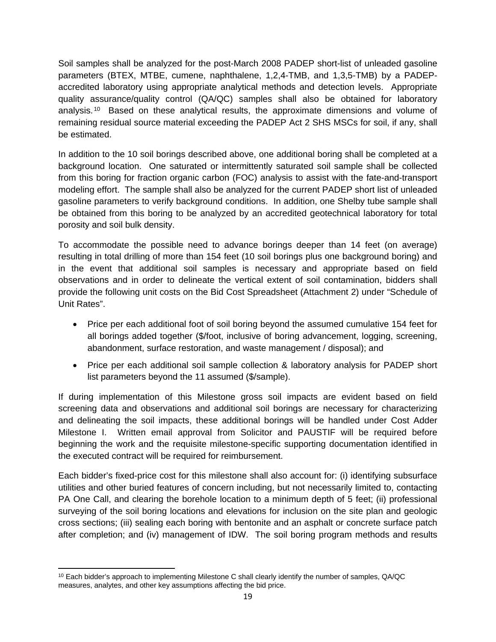Soil samples shall be analyzed for the post-March 2008 PADEP short-list of unleaded gasoline parameters (BTEX, MTBE, cumene, naphthalene, 1,2,4-TMB, and 1,3,5-TMB) by a PADEPaccredited laboratory using appropriate analytical methods and detection levels. Appropriate quality assurance/quality control (QA/QC) samples shall also be obtained for laboratory analysis. 10 Based on these analytical results, the approximate dimensions and volume of remaining residual source material exceeding the PADEP Act 2 SHS MSCs for soil, if any, shall be estimated.

In addition to the 10 soil borings described above, one additional boring shall be completed at a background location. One saturated or intermittently saturated soil sample shall be collected from this boring for fraction organic carbon (FOC) analysis to assist with the fate-and-transport modeling effort. The sample shall also be analyzed for the current PADEP short list of unleaded gasoline parameters to verify background conditions. In addition, one Shelby tube sample shall be obtained from this boring to be analyzed by an accredited geotechnical laboratory for total porosity and soil bulk density.

To accommodate the possible need to advance borings deeper than 14 feet (on average) resulting in total drilling of more than 154 feet (10 soil borings plus one background boring) and in the event that additional soil samples is necessary and appropriate based on field observations and in order to delineate the vertical extent of soil contamination, bidders shall provide the following unit costs on the Bid Cost Spreadsheet (Attachment 2) under "Schedule of Unit Rates".

- Price per each additional foot of soil boring beyond the assumed cumulative 154 feet for all borings added together (\$/foot, inclusive of boring advancement, logging, screening, abandonment, surface restoration, and waste management / disposal); and
- Price per each additional soil sample collection & laboratory analysis for PADEP short list parameters beyond the 11 assumed (\$/sample).

If during implementation of this Milestone gross soil impacts are evident based on field screening data and observations and additional soil borings are necessary for characterizing and delineating the soil impacts, these additional borings will be handled under Cost Adder Milestone I. Written email approval from Solicitor and PAUSTIF will be required before beginning the work and the requisite milestone-specific supporting documentation identified in the executed contract will be required for reimbursement.

Each bidder's fixed-price cost for this milestone shall also account for: (i) identifying subsurface utilities and other buried features of concern including, but not necessarily limited to, contacting PA One Call, and clearing the borehole location to a minimum depth of 5 feet; (ii) professional surveying of the soil boring locations and elevations for inclusion on the site plan and geologic cross sections; (iii) sealing each boring with bentonite and an asphalt or concrete surface patch after completion; and (iv) management of IDW. The soil boring program methods and results

  $10$  Each bidder's approach to implementing Milestone C shall clearly identify the number of samples, QA/QC measures, analytes, and other key assumptions affecting the bid price.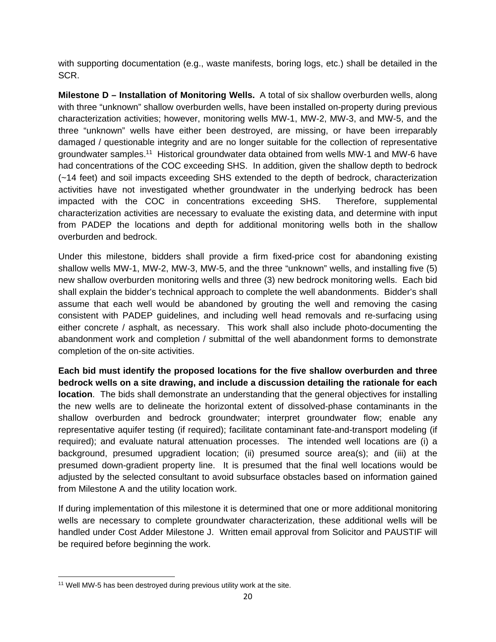with supporting documentation (e.g., waste manifests, boring logs, etc.) shall be detailed in the SCR.

**Milestone D – Installation of Monitoring Wells.** A total of six shallow overburden wells, along with three "unknown" shallow overburden wells, have been installed on-property during previous characterization activities; however, monitoring wells MW-1, MW-2, MW-3, and MW-5, and the three "unknown" wells have either been destroyed, are missing, or have been irreparably damaged / questionable integrity and are no longer suitable for the collection of representative groundwater samples.11 Historical groundwater data obtained from wells MW-1 and MW-6 have had concentrations of the COC exceeding SHS. In addition, given the shallow depth to bedrock (~14 feet) and soil impacts exceeding SHS extended to the depth of bedrock, characterization activities have not investigated whether groundwater in the underlying bedrock has been impacted with the COC in concentrations exceeding SHS. Therefore, supplemental characterization activities are necessary to evaluate the existing data, and determine with input from PADEP the locations and depth for additional monitoring wells both in the shallow overburden and bedrock.

Under this milestone, bidders shall provide a firm fixed-price cost for abandoning existing shallow wells MW-1, MW-2, MW-3, MW-5, and the three "unknown" wells, and installing five (5) new shallow overburden monitoring wells and three (3) new bedrock monitoring wells. Each bid shall explain the bidder's technical approach to complete the well abandonments. Bidder's shall assume that each well would be abandoned by grouting the well and removing the casing consistent with PADEP guidelines, and including well head removals and re-surfacing using either concrete / asphalt, as necessary. This work shall also include photo-documenting the abandonment work and completion / submittal of the well abandonment forms to demonstrate completion of the on-site activities.

**Each bid must identify the proposed locations for the five shallow overburden and three bedrock wells on a site drawing, and include a discussion detailing the rationale for each location**. The bids shall demonstrate an understanding that the general objectives for installing the new wells are to delineate the horizontal extent of dissolved-phase contaminants in the shallow overburden and bedrock groundwater; interpret groundwater flow; enable any representative aquifer testing (if required); facilitate contaminant fate-and-transport modeling (if required); and evaluate natural attenuation processes. The intended well locations are (i) a background, presumed upgradient location; (ii) presumed source area(s); and (iii) at the presumed down-gradient property line. It is presumed that the final well locations would be adjusted by the selected consultant to avoid subsurface obstacles based on information gained from Milestone A and the utility location work.

If during implementation of this milestone it is determined that one or more additional monitoring wells are necessary to complete groundwater characterization, these additional wells will be handled under Cost Adder Milestone J. Written email approval from Solicitor and PAUSTIF will be required before beginning the work.

 <sup>11</sup> Well MW-5 has been destroyed during previous utility work at the site.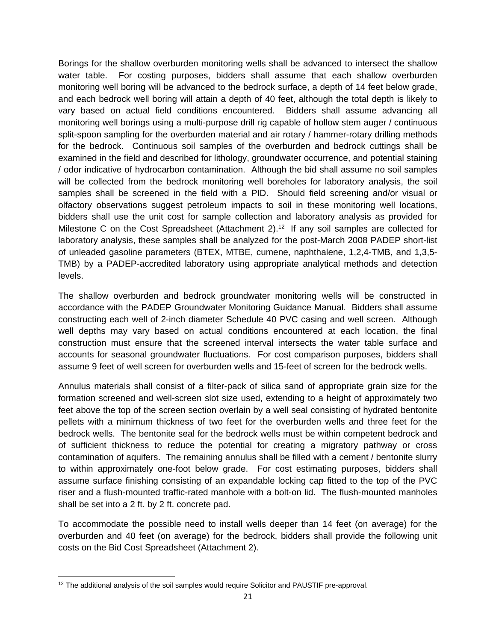Borings for the shallow overburden monitoring wells shall be advanced to intersect the shallow water table. For costing purposes, bidders shall assume that each shallow overburden monitoring well boring will be advanced to the bedrock surface, a depth of 14 feet below grade, and each bedrock well boring will attain a depth of 40 feet, although the total depth is likely to vary based on actual field conditions encountered. Bidders shall assume advancing all monitoring well borings using a multi-purpose drill rig capable of hollow stem auger / continuous split-spoon sampling for the overburden material and air rotary / hammer-rotary drilling methods for the bedrock. Continuous soil samples of the overburden and bedrock cuttings shall be examined in the field and described for lithology, groundwater occurrence, and potential staining / odor indicative of hydrocarbon contamination. Although the bid shall assume no soil samples will be collected from the bedrock monitoring well boreholes for laboratory analysis, the soil samples shall be screened in the field with a PID. Should field screening and/or visual or olfactory observations suggest petroleum impacts to soil in these monitoring well locations, bidders shall use the unit cost for sample collection and laboratory analysis as provided for Milestone C on the Cost Spreadsheet (Attachment 2).<sup>12</sup> If any soil samples are collected for laboratory analysis, these samples shall be analyzed for the post-March 2008 PADEP short-list of unleaded gasoline parameters (BTEX, MTBE, cumene, naphthalene, 1,2,4-TMB, and 1,3,5- TMB) by a PADEP-accredited laboratory using appropriate analytical methods and detection levels.

The shallow overburden and bedrock groundwater monitoring wells will be constructed in accordance with the PADEP Groundwater Monitoring Guidance Manual. Bidders shall assume constructing each well of 2-inch diameter Schedule 40 PVC casing and well screen. Although well depths may vary based on actual conditions encountered at each location, the final construction must ensure that the screened interval intersects the water table surface and accounts for seasonal groundwater fluctuations. For cost comparison purposes, bidders shall assume 9 feet of well screen for overburden wells and 15-feet of screen for the bedrock wells.

Annulus materials shall consist of a filter-pack of silica sand of appropriate grain size for the formation screened and well-screen slot size used, extending to a height of approximately two feet above the top of the screen section overlain by a well seal consisting of hydrated bentonite pellets with a minimum thickness of two feet for the overburden wells and three feet for the bedrock wells. The bentonite seal for the bedrock wells must be within competent bedrock and of sufficient thickness to reduce the potential for creating a migratory pathway or cross contamination of aquifers. The remaining annulus shall be filled with a cement / bentonite slurry to within approximately one-foot below grade. For cost estimating purposes, bidders shall assume surface finishing consisting of an expandable locking cap fitted to the top of the PVC riser and a flush-mounted traffic-rated manhole with a bolt-on lid. The flush-mounted manholes shall be set into a 2 ft. by 2 ft. concrete pad.

To accommodate the possible need to install wells deeper than 14 feet (on average) for the overburden and 40 feet (on average) for the bedrock, bidders shall provide the following unit costs on the Bid Cost Spreadsheet (Attachment 2).

  $12$  The additional analysis of the soil samples would require Solicitor and PAUSTIF pre-approval.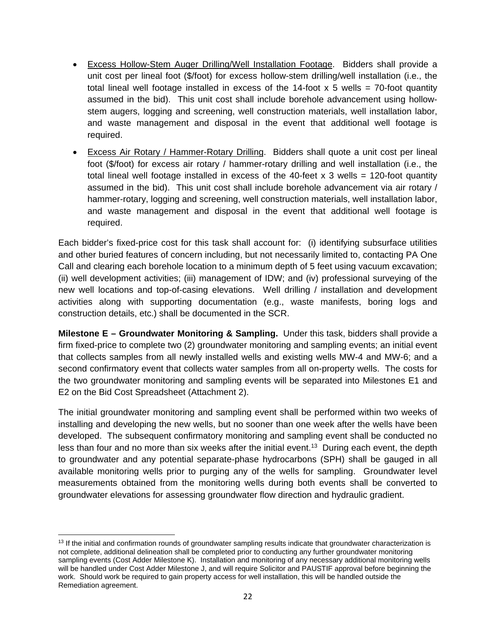- Excess Hollow-Stem Auger Drilling/Well Installation Footage. Bidders shall provide a unit cost per lineal foot (\$/foot) for excess hollow-stem drilling/well installation (i.e., the total lineal well footage installed in excess of the 14-foot  $x$  5 wells = 70-foot quantity assumed in the bid). This unit cost shall include borehole advancement using hollowstem augers, logging and screening, well construction materials, well installation labor, and waste management and disposal in the event that additional well footage is required.
- Excess Air Rotary / Hammer-Rotary Drilling. Bidders shall quote a unit cost per lineal foot (\$/foot) for excess air rotary / hammer-rotary drilling and well installation (i.e., the total lineal well footage installed in excess of the 40-feet  $x$  3 wells = 120-foot quantity assumed in the bid). This unit cost shall include borehole advancement via air rotary / hammer-rotary, logging and screening, well construction materials, well installation labor, and waste management and disposal in the event that additional well footage is required.

Each bidder's fixed-price cost for this task shall account for: (i) identifying subsurface utilities and other buried features of concern including, but not necessarily limited to, contacting PA One Call and clearing each borehole location to a minimum depth of 5 feet using vacuum excavation; (ii) well development activities; (iii) management of IDW; and (iv) professional surveying of the new well locations and top-of-casing elevations. Well drilling / installation and development activities along with supporting documentation (e.g., waste manifests, boring logs and construction details, etc.) shall be documented in the SCR.

**Milestone E – Groundwater Monitoring & Sampling.** Under this task, bidders shall provide a firm fixed-price to complete two (2) groundwater monitoring and sampling events; an initial event that collects samples from all newly installed wells and existing wells MW-4 and MW-6; and a second confirmatory event that collects water samples from all on-property wells. The costs for the two groundwater monitoring and sampling events will be separated into Milestones E1 and E2 on the Bid Cost Spreadsheet (Attachment 2).

The initial groundwater monitoring and sampling event shall be performed within two weeks of installing and developing the new wells, but no sooner than one week after the wells have been developed. The subsequent confirmatory monitoring and sampling event shall be conducted no less than four and no more than six weeks after the initial event.<sup>13</sup> During each event, the depth to groundwater and any potential separate-phase hydrocarbons (SPH) shall be gauged in all available monitoring wells prior to purging any of the wells for sampling. Groundwater level measurements obtained from the monitoring wells during both events shall be converted to groundwater elevations for assessing groundwater flow direction and hydraulic gradient.

 <sup>13</sup> If the initial and confirmation rounds of groundwater sampling results indicate that groundwater characterization is not complete, additional delineation shall be completed prior to conducting any further groundwater monitoring sampling events (Cost Adder Milestone K). Installation and monitoring of any necessary additional monitoring wells will be handled under Cost Adder Milestone J, and will require Solicitor and PAUSTIF approval before beginning the work. Should work be required to gain property access for well installation, this will be handled outside the Remediation agreement.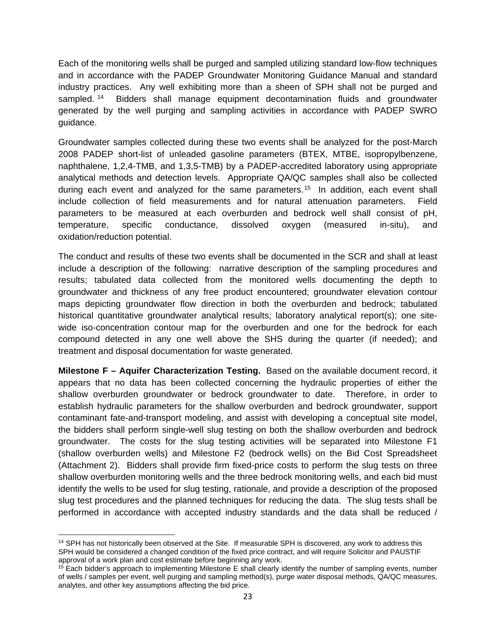Each of the monitoring wells shall be purged and sampled utilizing standard low-flow techniques and in accordance with the PADEP Groundwater Monitoring Guidance Manual and standard industry practices. Any well exhibiting more than a sheen of SPH shall not be purged and sampled. 14 Bidders shall manage equipment decontamination fluids and groundwater generated by the well purging and sampling activities in accordance with PADEP SWRO guidance.

Groundwater samples collected during these two events shall be analyzed for the post-March 2008 PADEP short-list of unleaded gasoline parameters (BTEX, MTBE, isopropylbenzene, naphthalene, 1,2,4-TMB, and 1,3,5-TMB) by a PADEP-accredited laboratory using appropriate analytical methods and detection levels. Appropriate QA/QC samples shall also be collected during each event and analyzed for the same parameters.<sup>15</sup> In addition, each event shall include collection of field measurements and for natural attenuation parameters. Field parameters to be measured at each overburden and bedrock well shall consist of pH, temperature, specific conductance, dissolved oxygen (measured in-situ), and oxidation/reduction potential.

The conduct and results of these two events shall be documented in the SCR and shall at least include a description of the following: narrative description of the sampling procedures and results; tabulated data collected from the monitored wells documenting the depth to groundwater and thickness of any free product encountered; groundwater elevation contour maps depicting groundwater flow direction in both the overburden and bedrock; tabulated historical quantitative groundwater analytical results; laboratory analytical report(s); one sitewide iso-concentration contour map for the overburden and one for the bedrock for each compound detected in any one well above the SHS during the quarter (if needed); and treatment and disposal documentation for waste generated.

**Milestone F – Aquifer Characterization Testing.** Based on the available document record, it appears that no data has been collected concerning the hydraulic properties of either the shallow overburden groundwater or bedrock groundwater to date. Therefore, in order to establish hydraulic parameters for the shallow overburden and bedrock groundwater, support contaminant fate-and-transport modeling, and assist with developing a conceptual site model, the bidders shall perform single-well slug testing on both the shallow overburden and bedrock groundwater. The costs for the slug testing activities will be separated into Milestone F1 (shallow overburden wells) and Milestone F2 (bedrock wells) on the Bid Cost Spreadsheet (Attachment 2). Bidders shall provide firm fixed-price costs to perform the slug tests on three shallow overburden monitoring wells and the three bedrock monitoring wells, and each bid must identify the wells to be used for slug testing, rationale, and provide a description of the proposed slug test procedures and the planned techniques for reducing the data. The slug tests shall be performed in accordance with accepted industry standards and the data shall be reduced /

 <sup>14</sup> SPH has not historically been observed at the Site. If measurable SPH is discovered, any work to address this SPH would be considered a changed condition of the fixed price contract, and will require Solicitor and PAUSTIF approval of a work plan and cost estimate before beginning any work.

<sup>&</sup>lt;sup>15</sup> Each bidder's approach to implementing Milestone E shall clearly identify the number of sampling events, number of wells / samples per event, well purging and sampling method(s), purge water disposal methods, QA/QC measures, analytes, and other key assumptions affecting the bid price.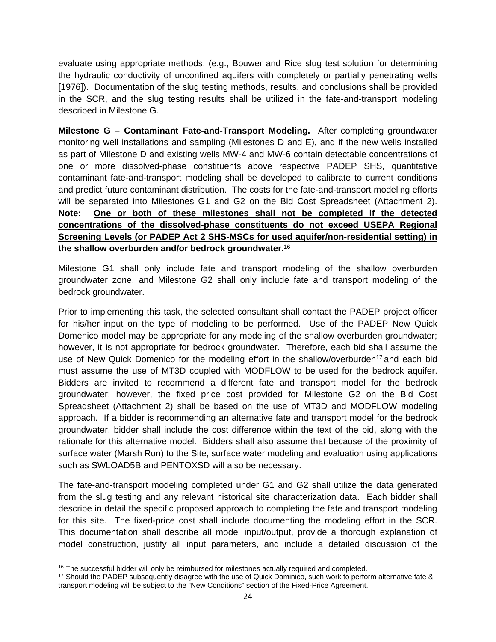evaluate using appropriate methods. (e.g., Bouwer and Rice slug test solution for determining the hydraulic conductivity of unconfined aquifers with completely or partially penetrating wells [1976]). Documentation of the slug testing methods, results, and conclusions shall be provided in the SCR, and the slug testing results shall be utilized in the fate-and-transport modeling described in Milestone G.

**Milestone G – Contaminant Fate-and-Transport Modeling.** After completing groundwater monitoring well installations and sampling (Milestones D and E), and if the new wells installed as part of Milestone D and existing wells MW-4 and MW-6 contain detectable concentrations of one or more dissolved-phase constituents above respective PADEP SHS, quantitative contaminant fate-and-transport modeling shall be developed to calibrate to current conditions and predict future contaminant distribution. The costs for the fate-and-transport modeling efforts will be separated into Milestones G1 and G2 on the Bid Cost Spreadsheet (Attachment 2). **Note: One or both of these milestones shall not be completed if the detected concentrations of the dissolved-phase constituents do not exceed USEPA Regional Screening Levels (or PADEP Act 2 SHS-MSCs for used aquifer/non-residential setting) in the shallow overburden and/or bedrock groundwater.**<sup>16</sup>

Milestone G1 shall only include fate and transport modeling of the shallow overburden groundwater zone, and Milestone G2 shall only include fate and transport modeling of the bedrock groundwater.

Prior to implementing this task, the selected consultant shall contact the PADEP project officer for his/her input on the type of modeling to be performed. Use of the PADEP New Quick Domenico model may be appropriate for any modeling of the shallow overburden groundwater; however, it is not appropriate for bedrock groundwater. Therefore, each bid shall assume the use of New Quick Domenico for the modeling effort in the shallow/overburden<sup>17</sup> and each bid must assume the use of MT3D coupled with MODFLOW to be used for the bedrock aquifer. Bidders are invited to recommend a different fate and transport model for the bedrock groundwater; however, the fixed price cost provided for Milestone G2 on the Bid Cost Spreadsheet (Attachment 2) shall be based on the use of MT3D and MODFLOW modeling approach. If a bidder is recommending an alternative fate and transport model for the bedrock groundwater, bidder shall include the cost difference within the text of the bid, along with the rationale for this alternative model. Bidders shall also assume that because of the proximity of surface water (Marsh Run) to the Site, surface water modeling and evaluation using applications such as SWLOAD5B and PENTOXSD will also be necessary.

The fate-and-transport modeling completed under G1 and G2 shall utilize the data generated from the slug testing and any relevant historical site characterization data. Each bidder shall describe in detail the specific proposed approach to completing the fate and transport modeling for this site. The fixed-price cost shall include documenting the modeling effort in the SCR. This documentation shall describe all model input/output, provide a thorough explanation of model construction, justify all input parameters, and include a detailed discussion of the

<sup>&</sup>lt;sup>16</sup> The successful bidder will only be reimbursed for milestones actually required and completed.

<sup>&</sup>lt;sup>17</sup> Should the PADEP subsequently disagree with the use of Quick Dominico, such work to perform alternative fate  $\&$ transport modeling will be subject to the "New Conditions" section of the Fixed-Price Agreement.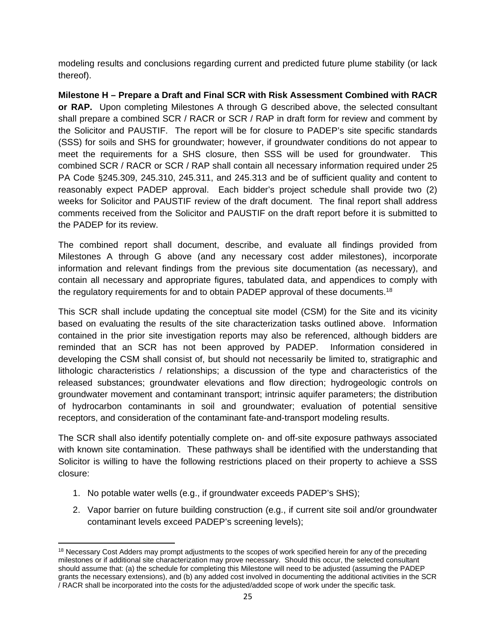modeling results and conclusions regarding current and predicted future plume stability (or lack thereof).

**Milestone H – Prepare a Draft and Final SCR with Risk Assessment Combined with RACR or RAP.** Upon completing Milestones A through G described above, the selected consultant shall prepare a combined SCR / RACR or SCR / RAP in draft form for review and comment by the Solicitor and PAUSTIF. The report will be for closure to PADEP's site specific standards (SSS) for soils and SHS for groundwater; however, if groundwater conditions do not appear to meet the requirements for a SHS closure, then SSS will be used for groundwater. This combined SCR / RACR or SCR / RAP shall contain all necessary information required under 25 PA Code §245.309, 245.310, 245.311, and 245.313 and be of sufficient quality and content to reasonably expect PADEP approval. Each bidder's project schedule shall provide two (2) weeks for Solicitor and PAUSTIF review of the draft document. The final report shall address comments received from the Solicitor and PAUSTIF on the draft report before it is submitted to the PADEP for its review.

The combined report shall document, describe, and evaluate all findings provided from Milestones A through G above (and any necessary cost adder milestones), incorporate information and relevant findings from the previous site documentation (as necessary), and contain all necessary and appropriate figures, tabulated data, and appendices to comply with the regulatory requirements for and to obtain PADEP approval of these documents.<sup>18</sup>

This SCR shall include updating the conceptual site model (CSM) for the Site and its vicinity based on evaluating the results of the site characterization tasks outlined above. Information contained in the prior site investigation reports may also be referenced, although bidders are reminded that an SCR has not been approved by PADEP. Information considered in developing the CSM shall consist of, but should not necessarily be limited to, stratigraphic and lithologic characteristics / relationships; a discussion of the type and characteristics of the released substances; groundwater elevations and flow direction; hydrogeologic controls on groundwater movement and contaminant transport; intrinsic aquifer parameters; the distribution of hydrocarbon contaminants in soil and groundwater; evaluation of potential sensitive receptors, and consideration of the contaminant fate-and-transport modeling results.

The SCR shall also identify potentially complete on- and off-site exposure pathways associated with known site contamination. These pathways shall be identified with the understanding that Solicitor is willing to have the following restrictions placed on their property to achieve a SSS closure:

- 1. No potable water wells (e.g., if groundwater exceeds PADEP's SHS);
- 2. Vapor barrier on future building construction (e.g., if current site soil and/or groundwater contaminant levels exceed PADEP's screening levels);

 <sup>18</sup> Necessary Cost Adders may prompt adjustments to the scopes of work specified herein for any of the preceding milestones or if additional site characterization may prove necessary. Should this occur, the selected consultant should assume that: (a) the schedule for completing this Milestone will need to be adjusted (assuming the PADEP grants the necessary extensions), and (b) any added cost involved in documenting the additional activities in the SCR / RACR shall be incorporated into the costs for the adjusted/added scope of work under the specific task.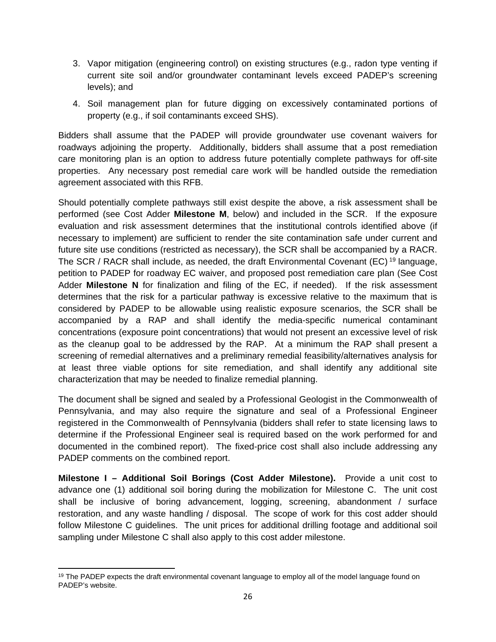- 3. Vapor mitigation (engineering control) on existing structures (e.g., radon type venting if current site soil and/or groundwater contaminant levels exceed PADEP's screening levels); and
- 4. Soil management plan for future digging on excessively contaminated portions of property (e.g., if soil contaminants exceed SHS).

Bidders shall assume that the PADEP will provide groundwater use covenant waivers for roadways adjoining the property. Additionally, bidders shall assume that a post remediation care monitoring plan is an option to address future potentially complete pathways for off-site properties. Any necessary post remedial care work will be handled outside the remediation agreement associated with this RFB.

Should potentially complete pathways still exist despite the above, a risk assessment shall be performed (see Cost Adder **Milestone M**, below) and included in the SCR. If the exposure evaluation and risk assessment determines that the institutional controls identified above (if necessary to implement) are sufficient to render the site contamination safe under current and future site use conditions (restricted as necessary), the SCR shall be accompanied by a RACR. The SCR / RACR shall include, as needed, the draft Environmental Covenant (EC) 19 language, petition to PADEP for roadway EC waiver, and proposed post remediation care plan (See Cost Adder **Milestone N** for finalization and filing of the EC, if needed). If the risk assessment determines that the risk for a particular pathway is excessive relative to the maximum that is considered by PADEP to be allowable using realistic exposure scenarios, the SCR shall be accompanied by a RAP and shall identify the media-specific numerical contaminant concentrations (exposure point concentrations) that would not present an excessive level of risk as the cleanup goal to be addressed by the RAP. At a minimum the RAP shall present a screening of remedial alternatives and a preliminary remedial feasibility/alternatives analysis for at least three viable options for site remediation, and shall identify any additional site characterization that may be needed to finalize remedial planning.

The document shall be signed and sealed by a Professional Geologist in the Commonwealth of Pennsylvania, and may also require the signature and seal of a Professional Engineer registered in the Commonwealth of Pennsylvania (bidders shall refer to state licensing laws to determine if the Professional Engineer seal is required based on the work performed for and documented in the combined report). The fixed-price cost shall also include addressing any PADEP comments on the combined report.

**Milestone I – Additional Soil Borings (Cost Adder Milestone).** Provide a unit cost to advance one (1) additional soil boring during the mobilization for Milestone C. The unit cost shall be inclusive of boring advancement, logging, screening, abandonment / surface restoration, and any waste handling / disposal. The scope of work for this cost adder should follow Milestone C guidelines. The unit prices for additional drilling footage and additional soil sampling under Milestone C shall also apply to this cost adder milestone.

 <sup>19</sup> The PADEP expects the draft environmental covenant language to employ all of the model language found on PADEP's website.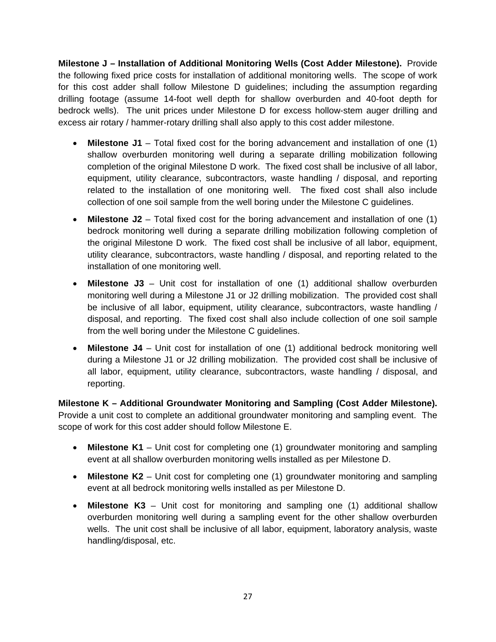**Milestone J – Installation of Additional Monitoring Wells (Cost Adder Milestone).** Provide the following fixed price costs for installation of additional monitoring wells. The scope of work for this cost adder shall follow Milestone D guidelines; including the assumption regarding drilling footage (assume 14-foot well depth for shallow overburden and 40-foot depth for bedrock wells). The unit prices under Milestone D for excess hollow-stem auger drilling and excess air rotary / hammer-rotary drilling shall also apply to this cost adder milestone.

- **Milestone J1** Total fixed cost for the boring advancement and installation of one (1) shallow overburden monitoring well during a separate drilling mobilization following completion of the original Milestone D work. The fixed cost shall be inclusive of all labor, equipment, utility clearance, subcontractors, waste handling / disposal, and reporting related to the installation of one monitoring well. The fixed cost shall also include collection of one soil sample from the well boring under the Milestone C guidelines.
- **Milestone J2** Total fixed cost for the boring advancement and installation of one (1) bedrock monitoring well during a separate drilling mobilization following completion of the original Milestone D work. The fixed cost shall be inclusive of all labor, equipment, utility clearance, subcontractors, waste handling / disposal, and reporting related to the installation of one monitoring well.
- **Milestone J3** Unit cost for installation of one (1) additional shallow overburden monitoring well during a Milestone J1 or J2 drilling mobilization. The provided cost shall be inclusive of all labor, equipment, utility clearance, subcontractors, waste handling / disposal, and reporting. The fixed cost shall also include collection of one soil sample from the well boring under the Milestone C guidelines.
- **Milestone J4** Unit cost for installation of one (1) additional bedrock monitoring well during a Milestone J1 or J2 drilling mobilization. The provided cost shall be inclusive of all labor, equipment, utility clearance, subcontractors, waste handling / disposal, and reporting.

**Milestone K – Additional Groundwater Monitoring and Sampling (Cost Adder Milestone).** Provide a unit cost to complete an additional groundwater monitoring and sampling event. The scope of work for this cost adder should follow Milestone E.

- **Milestone K1** Unit cost for completing one (1) groundwater monitoring and sampling event at all shallow overburden monitoring wells installed as per Milestone D.
- **Milestone K2** Unit cost for completing one (1) groundwater monitoring and sampling event at all bedrock monitoring wells installed as per Milestone D.
- **Milestone K3** Unit cost for monitoring and sampling one (1) additional shallow overburden monitoring well during a sampling event for the other shallow overburden wells. The unit cost shall be inclusive of all labor, equipment, laboratory analysis, waste handling/disposal, etc.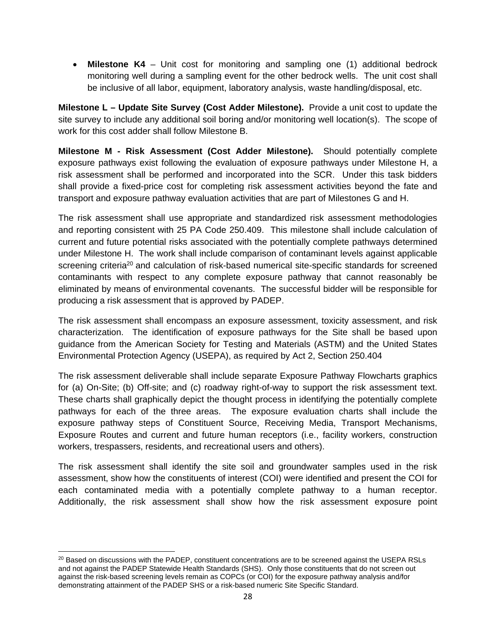**Milestone K4** – Unit cost for monitoring and sampling one (1) additional bedrock monitoring well during a sampling event for the other bedrock wells. The unit cost shall be inclusive of all labor, equipment, laboratory analysis, waste handling/disposal, etc.

**Milestone L – Update Site Survey (Cost Adder Milestone).** Provide a unit cost to update the site survey to include any additional soil boring and/or monitoring well location(s). The scope of work for this cost adder shall follow Milestone B.

**Milestone M - Risk Assessment (Cost Adder Milestone).** Should potentially complete exposure pathways exist following the evaluation of exposure pathways under Milestone H, a risk assessment shall be performed and incorporated into the SCR. Under this task bidders shall provide a fixed-price cost for completing risk assessment activities beyond the fate and transport and exposure pathway evaluation activities that are part of Milestones G and H.

The risk assessment shall use appropriate and standardized risk assessment methodologies and reporting consistent with 25 PA Code 250.409. This milestone shall include calculation of current and future potential risks associated with the potentially complete pathways determined under Milestone H. The work shall include comparison of contaminant levels against applicable screening criteria<sup>20</sup> and calculation of risk-based numerical site-specific standards for screened contaminants with respect to any complete exposure pathway that cannot reasonably be eliminated by means of environmental covenants. The successful bidder will be responsible for producing a risk assessment that is approved by PADEP.

The risk assessment shall encompass an exposure assessment, toxicity assessment, and risk characterization. The identification of exposure pathways for the Site shall be based upon guidance from the American Society for Testing and Materials (ASTM) and the United States Environmental Protection Agency (USEPA), as required by Act 2, Section 250.404

The risk assessment deliverable shall include separate Exposure Pathway Flowcharts graphics for (a) On-Site; (b) Off-site; and (c) roadway right-of-way to support the risk assessment text. These charts shall graphically depict the thought process in identifying the potentially complete pathways for each of the three areas. The exposure evaluation charts shall include the exposure pathway steps of Constituent Source, Receiving Media, Transport Mechanisms, Exposure Routes and current and future human receptors (i.e., facility workers, construction workers, trespassers, residents, and recreational users and others).

The risk assessment shall identify the site soil and groundwater samples used in the risk assessment, show how the constituents of interest (COI) were identified and present the COI for each contaminated media with a potentially complete pathway to a human receptor. Additionally, the risk assessment shall show how the risk assessment exposure point

<sup>&</sup>lt;sup>20</sup> Based on discussions with the PADEP, constituent concentrations are to be screened against the USEPA RSLs and not against the PADEP Statewide Health Standards (SHS). Only those constituents that do not screen out against the risk-based screening levels remain as COPCs (or COI) for the exposure pathway analysis and/for demonstrating attainment of the PADEP SHS or a risk-based numeric Site Specific Standard.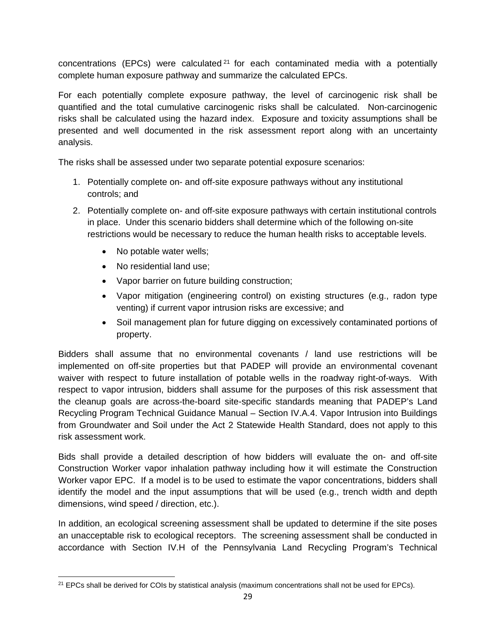concentrations (EPCs) were calculated  $2<sup>1</sup>$  for each contaminated media with a potentially complete human exposure pathway and summarize the calculated EPCs.

For each potentially complete exposure pathway, the level of carcinogenic risk shall be quantified and the total cumulative carcinogenic risks shall be calculated. Non-carcinogenic risks shall be calculated using the hazard index. Exposure and toxicity assumptions shall be presented and well documented in the risk assessment report along with an uncertainty analysis.

The risks shall be assessed under two separate potential exposure scenarios:

- 1. Potentially complete on- and off-site exposure pathways without any institutional controls; and
- 2. Potentially complete on- and off-site exposure pathways with certain institutional controls in place. Under this scenario bidders shall determine which of the following on-site restrictions would be necessary to reduce the human health risks to acceptable levels.
	- No potable water wells;
	- No residential land use;
	- Vapor barrier on future building construction;
	- Vapor mitigation (engineering control) on existing structures (e.g., radon type venting) if current vapor intrusion risks are excessive; and
	- Soil management plan for future digging on excessively contaminated portions of property.

Bidders shall assume that no environmental covenants / land use restrictions will be implemented on off-site properties but that PADEP will provide an environmental covenant waiver with respect to future installation of potable wells in the roadway right-of-ways. With respect to vapor intrusion, bidders shall assume for the purposes of this risk assessment that the cleanup goals are across-the-board site-specific standards meaning that PADEP's Land Recycling Program Technical Guidance Manual – Section IV.A.4. Vapor Intrusion into Buildings from Groundwater and Soil under the Act 2 Statewide Health Standard, does not apply to this risk assessment work.

Bids shall provide a detailed description of how bidders will evaluate the on- and off-site Construction Worker vapor inhalation pathway including how it will estimate the Construction Worker vapor EPC. If a model is to be used to estimate the vapor concentrations, bidders shall identify the model and the input assumptions that will be used (e.g., trench width and depth dimensions, wind speed / direction, etc.).

In addition, an ecological screening assessment shall be updated to determine if the site poses an unacceptable risk to ecological receptors. The screening assessment shall be conducted in accordance with Section IV.H of the Pennsylvania Land Recycling Program's Technical

  $21$  EPCs shall be derived for COIs by statistical analysis (maximum concentrations shall not be used for EPCs).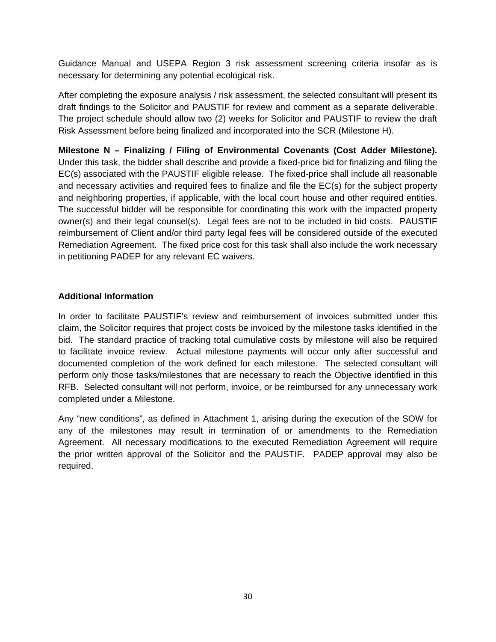Guidance Manual and USEPA Region 3 risk assessment screening criteria insofar as is necessary for determining any potential ecological risk.

After completing the exposure analysis / risk assessment, the selected consultant will present its draft findings to the Solicitor and PAUSTIF for review and comment as a separate deliverable. The project schedule should allow two (2) weeks for Solicitor and PAUSTIF to review the draft Risk Assessment before being finalized and incorporated into the SCR (Milestone H).

**Milestone N – Finalizing / Filing of Environmental Covenants (Cost Adder Milestone).** Under this task, the bidder shall describe and provide a fixed-price bid for finalizing and filing the EC(s) associated with the PAUSTIF eligible release. The fixed-price shall include all reasonable and necessary activities and required fees to finalize and file the EC(s) for the subject property and neighboring properties, if applicable, with the local court house and other required entities. The successful bidder will be responsible for coordinating this work with the impacted property owner(s) and their legal counsel(s). Legal fees are not to be included in bid costs. PAUSTIF reimbursement of Client and/or third party legal fees will be considered outside of the executed Remediation Agreement. The fixed price cost for this task shall also include the work necessary in petitioning PADEP for any relevant EC waivers.

#### **Additional Information**

In order to facilitate PAUSTIF's review and reimbursement of invoices submitted under this claim, the Solicitor requires that project costs be invoiced by the milestone tasks identified in the bid. The standard practice of tracking total cumulative costs by milestone will also be required to facilitate invoice review. Actual milestone payments will occur only after successful and documented completion of the work defined for each milestone. The selected consultant will perform only those tasks/milestones that are necessary to reach the Objective identified in this RFB. Selected consultant will not perform, invoice, or be reimbursed for any unnecessary work completed under a Milestone.

Any "new conditions", as defined in Attachment 1, arising during the execution of the SOW for any of the milestones may result in termination of or amendments to the Remediation Agreement. All necessary modifications to the executed Remediation Agreement will require the prior written approval of the Solicitor and the PAUSTIF. PADEP approval may also be required.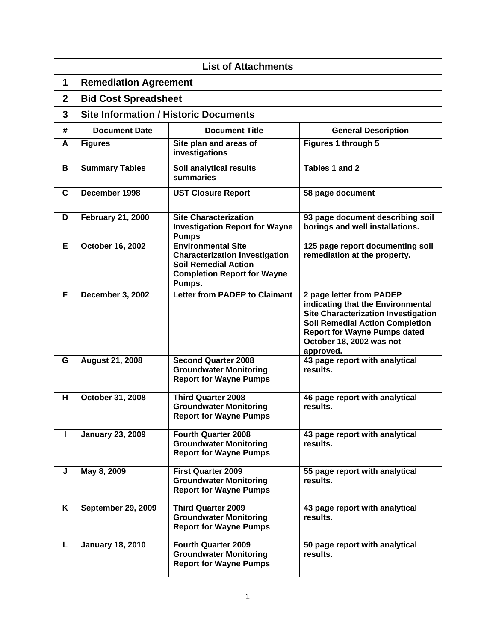| <b>List of Attachments</b> |                                              |                                                                                                                                                   |                                                                                                                                                                                                                                       |
|----------------------------|----------------------------------------------|---------------------------------------------------------------------------------------------------------------------------------------------------|---------------------------------------------------------------------------------------------------------------------------------------------------------------------------------------------------------------------------------------|
| 1                          | <b>Remediation Agreement</b>                 |                                                                                                                                                   |                                                                                                                                                                                                                                       |
| $\overline{2}$             | <b>Bid Cost Spreadsheet</b>                  |                                                                                                                                                   |                                                                                                                                                                                                                                       |
| 3                          | <b>Site Information / Historic Documents</b> |                                                                                                                                                   |                                                                                                                                                                                                                                       |
| #                          | <b>Document Date</b>                         | <b>Document Title</b>                                                                                                                             | <b>General Description</b>                                                                                                                                                                                                            |
| A                          | <b>Figures</b>                               | Site plan and areas of<br>investigations                                                                                                          | Figures 1 through 5                                                                                                                                                                                                                   |
| B                          | <b>Summary Tables</b>                        | Soil analytical results<br>summaries                                                                                                              | Tables 1 and 2                                                                                                                                                                                                                        |
| C                          | December 1998                                | <b>UST Closure Report</b>                                                                                                                         | 58 page document                                                                                                                                                                                                                      |
| D                          | <b>February 21, 2000</b>                     | <b>Site Characterization</b><br><b>Investigation Report for Wayne</b><br><b>Pumps</b>                                                             | 93 page document describing soil<br>borings and well installations.                                                                                                                                                                   |
| E                          | October 16, 2002                             | <b>Environmental Site</b><br><b>Characterization Investigation</b><br><b>Soil Remedial Action</b><br><b>Completion Report for Wayne</b><br>Pumps. | 125 page report documenting soil<br>remediation at the property.                                                                                                                                                                      |
| F                          | December 3, 2002                             | <b>Letter from PADEP to Claimant</b>                                                                                                              | 2 page letter from PADEP<br>indicating that the Environmental<br><b>Site Characterization Investigation</b><br><b>Soil Remedial Action Completion</b><br><b>Report for Wayne Pumps dated</b><br>October 18, 2002 was not<br>approved. |
| G                          | <b>August 21, 2008</b>                       | <b>Second Quarter 2008</b><br><b>Groundwater Monitoring</b><br><b>Report for Wayne Pumps</b>                                                      | 43 page report with analytical<br>results.                                                                                                                                                                                            |
| н                          | October 31, 2008                             | <b>Third Quarter 2008</b><br><b>Groundwater Monitoring</b><br><b>Report for Wayne Pumps</b>                                                       | 46 page report with analytical<br>results.                                                                                                                                                                                            |
| L                          | <b>January 23, 2009</b>                      | <b>Fourth Quarter 2008</b><br><b>Groundwater Monitoring</b><br><b>Report for Wayne Pumps</b>                                                      | 43 page report with analytical<br>results.                                                                                                                                                                                            |
| J                          | May 8, 2009                                  | <b>First Quarter 2009</b><br><b>Groundwater Monitoring</b><br><b>Report for Wayne Pumps</b>                                                       | 55 page report with analytical<br>results.                                                                                                                                                                                            |
| Κ                          | <b>September 29, 2009</b>                    | <b>Third Quarter 2009</b><br><b>Groundwater Monitoring</b><br><b>Report for Wayne Pumps</b>                                                       | 43 page report with analytical<br>results.                                                                                                                                                                                            |
| L                          | <b>January 18, 2010</b>                      | <b>Fourth Quarter 2009</b><br><b>Groundwater Monitoring</b><br><b>Report for Wayne Pumps</b>                                                      | 50 page report with analytical<br>results.                                                                                                                                                                                            |